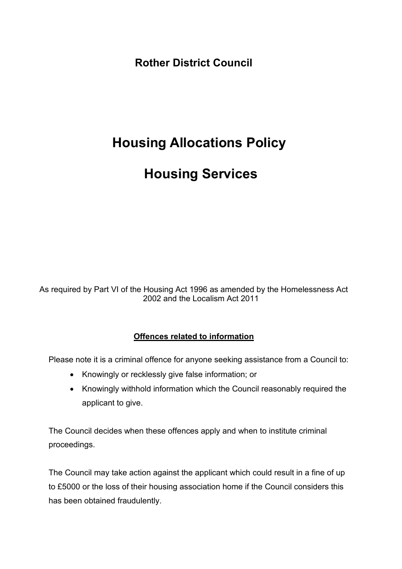**Rother District Council**

# <span id="page-0-0"></span> **Housing Allocations Policy**

# **Housing Services**

As required by Part VI of the Housing Act 1996 as amended by the Homelessness Act 2002 and the Localism Act 2011

#### **Offences related to information**

Please note it is a criminal offence for anyone seeking assistance from a Council to:

- Knowingly or recklessly give false information; or
- Knowingly withhold information which the Council reasonably required the applicant to give.

The Council decides when these offences apply and when to institute criminal proceedings.

The Council may take action against the applicant which could result in a fine of up to £5000 or the loss of their housing association home if the Council considers this has been obtained fraudulently.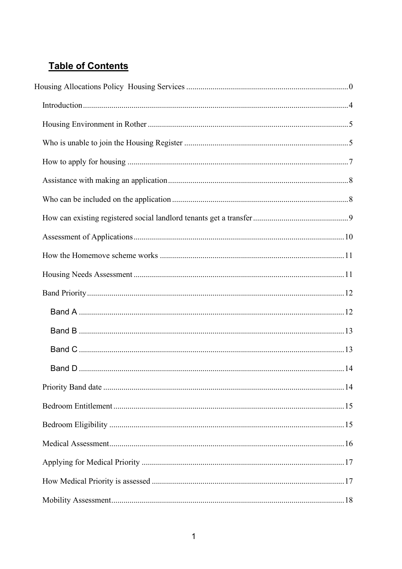## **Table of Contents**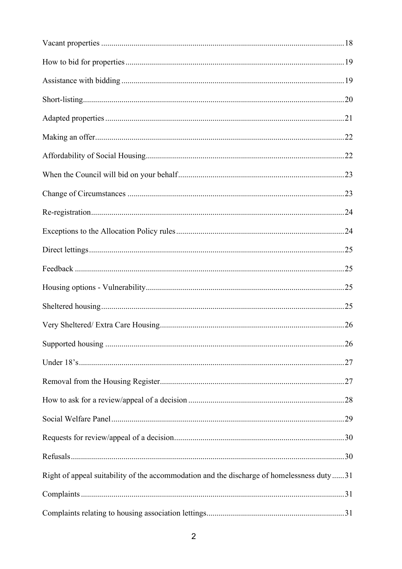| Right of appeal suitability of the accommodation and the discharge of homelessness duty31 |  |
|-------------------------------------------------------------------------------------------|--|
|                                                                                           |  |
|                                                                                           |  |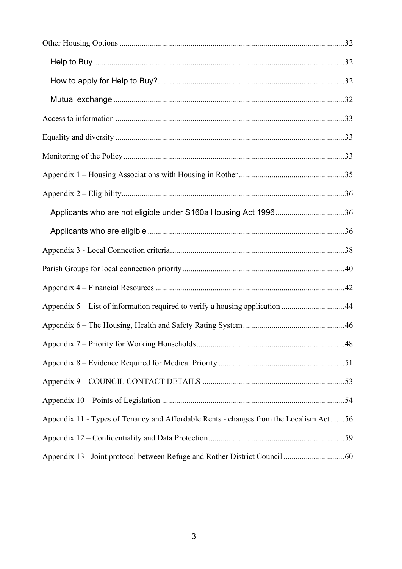| Applicants who are not eligible under S160a Housing Act 199636                        |  |
|---------------------------------------------------------------------------------------|--|
|                                                                                       |  |
|                                                                                       |  |
|                                                                                       |  |
|                                                                                       |  |
| Appendix 5 – List of information required to verify a housing application 44          |  |
|                                                                                       |  |
|                                                                                       |  |
|                                                                                       |  |
|                                                                                       |  |
|                                                                                       |  |
| Appendix 11 - Types of Tenancy and Affordable Rents - changes from the Localism Act56 |  |
|                                                                                       |  |
|                                                                                       |  |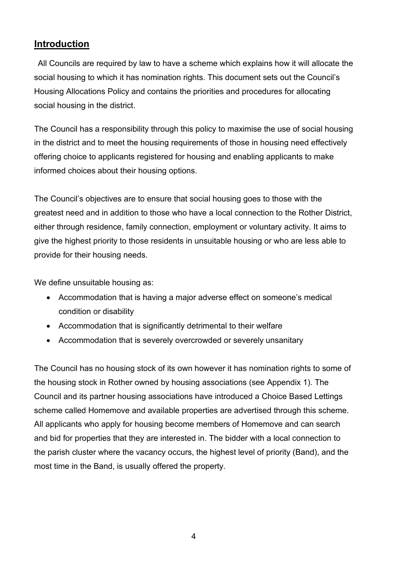## <span id="page-4-0"></span>**Introduction**

 All Councils are required by law to have a scheme which explains how it will allocate the social housing to which it has nomination rights. This document sets out the Council's Housing Allocations Policy and contains the priorities and procedures for allocating social housing in the district.

The Council has a responsibility through this policy to maximise the use of social housing in the district and to meet the housing requirements of those in housing need effectively offering choice to applicants registered for housing and enabling applicants to make informed choices about their housing options.

The Council's objectives are to ensure that social housing goes to those with the greatest need and in addition to those who have a local connection to the Rother District, either through residence, family connection, employment or voluntary activity. It aims to give the highest priority to those residents in unsuitable housing or who are less able to provide for their housing needs.

We define unsuitable housing as:

- Accommodation that is having a major adverse effect on someone's medical condition or disability
- Accommodation that is significantly detrimental to their welfare
- Accommodation that is severely overcrowded or severely unsanitary

The Council has no housing stock of its own however it has nomination rights to some of the housing stock in Rother owned by housing associations (see Appendix 1). The Council and its partner housing associations have introduced a Choice Based Lettings scheme called Homemove and available properties are advertised through this scheme. All applicants who apply for housing become members of Homemove and can search and bid for properties that they are interested in. The bidder with a local connection to the parish cluster where the vacancy occurs, the highest level of priority (Band), and the most time in the Band, is usually offered the property.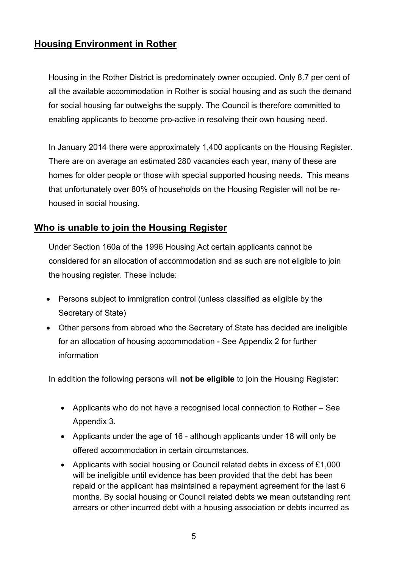## <span id="page-5-0"></span>**Housing Environment in Rother**

Housing in the Rother District is predominately owner occupied. Only 8.7 per cent of all the available accommodation in Rother is social housing and as such the demand for social housing far outweighs the supply. The Council is therefore committed to enabling applicants to become pro-active in resolving their own housing need.

In January 2014 there were approximately 1,400 applicants on the Housing Register. There are on average an estimated 280 vacancies each year, many of these are homes for older people or those with special supported housing needs. This means that unfortunately over 80% of households on the Housing Register will not be rehoused in social housing.

## <span id="page-5-1"></span>**Who is unable to join the Housing Register**

Under Section 160a of the 1996 Housing Act certain applicants cannot be considered for an allocation of accommodation and as such are not eligible to join the housing register. These include:

- Persons subject to immigration control (unless classified as eligible by the Secretary of State)
- Other persons from abroad who the Secretary of State has decided are ineligible for an allocation of housing accommodation - See Appendix 2 for further information

In addition the following persons will **not be eligible** to join the Housing Register:

- Applicants who do not have a recognised local connection to Rother See Appendix 3.
- Applicants under the age of 16 although applicants under 18 will only be offered accommodation in certain circumstances.
- Applicants with social housing or Council related debts in excess of £1,000 will be ineligible until evidence has been provided that the debt has been repaid or the applicant has maintained a repayment agreement for the last 6 months. By social housing or Council related debts we mean outstanding rent arrears or other incurred debt with a housing association or debts incurred as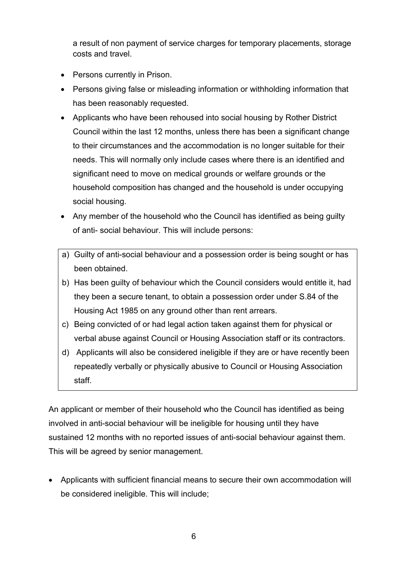a result of non payment of service charges for temporary placements, storage costs and travel.

- Persons currently in Prison.
- Persons giving false or misleading information or withholding information that has been reasonably requested.
- Applicants who have been rehoused into social housing by Rother District Council within the last 12 months, unless there has been a significant change to their circumstances and the accommodation is no longer suitable for their needs. This will normally only include cases where there is an identified and significant need to move on medical grounds or welfare grounds or the household composition has changed and the household is under occupying social housing.
- Any member of the household who the Council has identified as being guilty of anti- social behaviour. This will include persons:
- a) Guilty of anti-social behaviour and a possession order is being sought or has been obtained.
- b) Has been guilty of behaviour which the Council considers would entitle it, had they been a secure tenant, to obtain a possession order under S.84 of the Housing Act 1985 on any ground other than rent arrears.
- c) Being convicted of or had legal action taken against them for physical or verbal abuse against Council or Housing Association staff or its contractors.
- d) Applicants will also be considered ineligible if they are or have recently been repeatedly verbally or physically abusive to Council or Housing Association staff.

An applicant or member of their household who the Council has identified as being involved in anti-social behaviour will be ineligible for housing until they have sustained 12 months with no reported issues of anti-social behaviour against them. This will be agreed by senior management.

• Applicants with sufficient financial means to secure their own accommodation will be considered ineligible. This will include;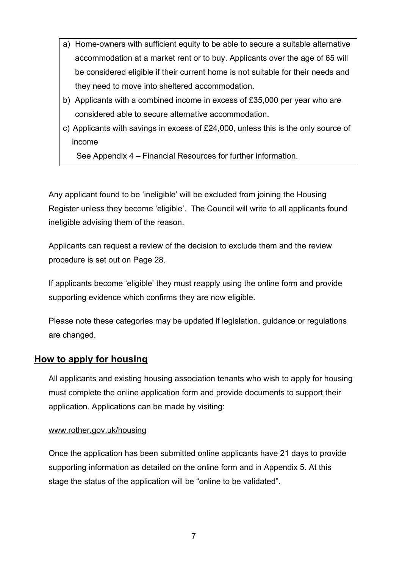- a) Home-owners with sufficient equity to be able to secure a suitable alternative accommodation at a market rent or to buy. Applicants over the age of 65 will be considered eligible if their current home is not suitable for their needs and they need to move into sheltered accommodation.
- b) Applicants with a combined income in excess of £35,000 per year who are considered able to secure alternative accommodation.
- c) Applicants with savings in excess of £24,000, unless this is the only source of income

See Appendix 4 – Financial Resources for further information.

Any applicant found to be 'ineligible' will be excluded from joining the Housing Register unless they become 'eligible'. The Council will write to all applicants found ineligible advising them of the reason.

Applicants can request a review of the decision to exclude them and the review procedure is set out on Page 28.

If applicants become 'eligible' they must reapply using the online form and provide supporting evidence which confirms they are now eligible.

Please note these categories may be updated if legislation, guidance or regulations are changed.

## <span id="page-7-0"></span>**How to apply for housing**

All applicants and existing housing association tenants who wish to apply for housing must complete the online application form and provide documents to support their application. Applications can be made by visiting:

#### [www.rother.gov.uk/housing](http://www.rother.gov.uk/housing)

Once the application has been submitted online applicants have 21 days to provide supporting information as detailed on the online form and in Appendix 5. At this stage the status of the application will be "online to be validated".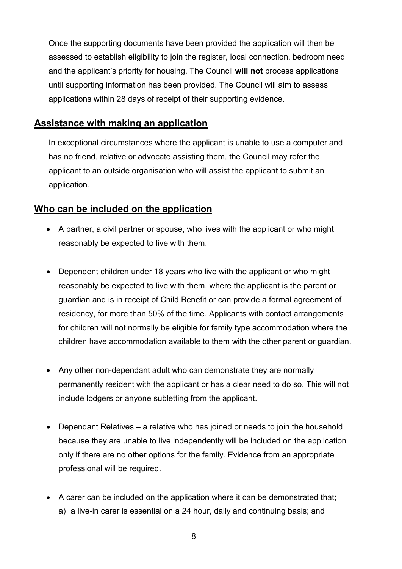Once the supporting documents have been provided the application will then be assessed to establish eligibility to join the register, local connection, bedroom need and the applicant's priority for housing. The Council **will not** process applications until supporting information has been provided. The Council will aim to assess applications within 28 days of receipt of their supporting evidence.

#### <span id="page-8-0"></span>**Assistance with making an application**

In exceptional circumstances where the applicant is unable to use a computer and has no friend, relative or advocate assisting them, the Council may refer the applicant to an outside organisation who will assist the applicant to submit an application.

## <span id="page-8-1"></span>**Who can be included on the application**

- A partner, a civil partner or spouse, who lives with the applicant or who might reasonably be expected to live with them.
- Dependent children under 18 years who live with the applicant or who might reasonably be expected to live with them, where the applicant is the parent or guardian and is in receipt of Child Benefit or can provide a formal agreement of residency, for more than 50% of the time. Applicants with contact arrangements for children will not normally be eligible for family type accommodation where the children have accommodation available to them with the other parent or guardian.
- Any other non-dependant adult who can demonstrate they are normally permanently resident with the applicant or has a clear need to do so. This will not include lodgers or anyone subletting from the applicant.
- Dependant Relatives a relative who has joined or needs to join the household because they are unable to live independently will be included on the application only if there are no other options for the family. Evidence from an appropriate professional will be required.
- A carer can be included on the application where it can be demonstrated that; a) a live-in carer is essential on a 24 hour, daily and continuing basis; and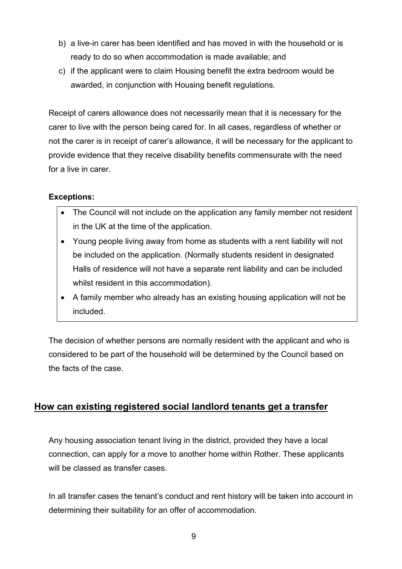- b) a live-in carer has been identified and has moved in with the household or is ready to do so when accommodation is made available; and
- c) if the applicant were to claim Housing benefit the extra bedroom would be awarded, in conjunction with Housing benefit regulations.

Receipt of carers allowance does not necessarily mean that it is necessary for the carer to live with the person being cared for. In all cases, regardless of whether or not the carer is in receipt of carer's allowance, it will be necessary for the applicant to provide evidence that they receive disability benefits commensurate with the need for a live in carer.

#### **Exceptions:**

- The Council will not include on the application any family member not resident in the UK at the time of the application.
- Young people living away from home as students with a rent liability will not be included on the application. (Normally students resident in designated Halls of residence will not have a separate rent liability and can be included whilst resident in this accommodation).
- A family member who already has an existing housing application will not be included.

The decision of whether persons are normally resident with the applicant and who is considered to be part of the household will be determined by the Council based on the facts of the case.

## <span id="page-9-0"></span>**How can existing registered social landlord tenants get a transfer**

Any housing association tenant living in the district, provided they have a local connection, can apply for a move to another home within Rother. These applicants will be classed as transfer cases.

In all transfer cases the tenant's conduct and rent history will be taken into account in determining their suitability for an offer of accommodation.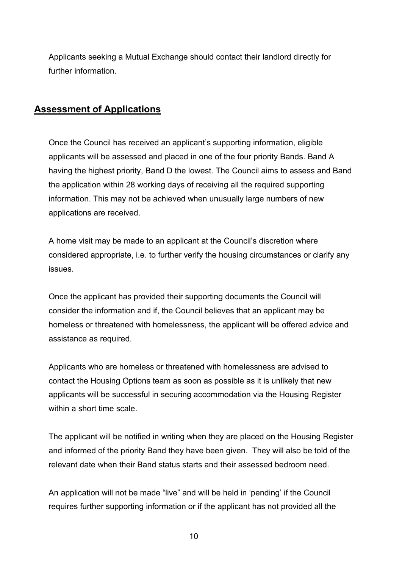Applicants seeking a Mutual Exchange should contact their landlord directly for further information.

### <span id="page-10-0"></span>**Assessment of Applications**

Once the Council has received an applicant's supporting information, eligible applicants will be assessed and placed in one of the four priority Bands. Band A having the highest priority, Band D the lowest. The Council aims to assess and Band the application within 28 working days of receiving all the required supporting information. This may not be achieved when unusually large numbers of new applications are received.

A home visit may be made to an applicant at the Council's discretion where considered appropriate, i.e. to further verify the housing circumstances or clarify any issues.

Once the applicant has provided their supporting documents the Council will consider the information and if, the Council believes that an applicant may be homeless or threatened with homelessness, the applicant will be offered advice and assistance as required.

Applicants who are homeless or threatened with homelessness are advised to contact the Housing Options team as soon as possible as it is unlikely that new applicants will be successful in securing accommodation via the Housing Register within a short time scale.

The applicant will be notified in writing when they are placed on the Housing Register and informed of the priority Band they have been given. They will also be told of the relevant date when their Band status starts and their assessed bedroom need.

An application will not be made "live" and will be held in 'pending' if the Council requires further supporting information or if the applicant has not provided all the

10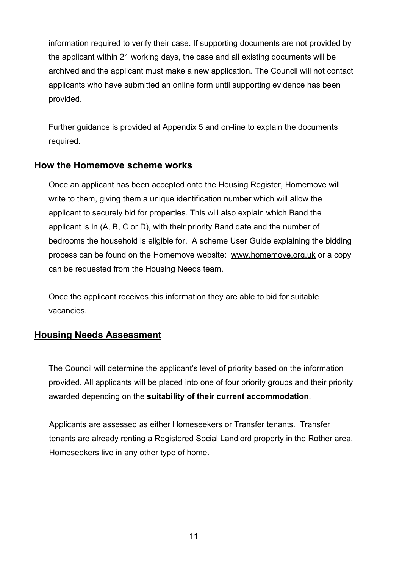information required to verify their case. If supporting documents are not provided by the applicant within 21 working days, the case and all existing documents will be archived and the applicant must make a new application. The Council will not contact applicants who have submitted an online form until supporting evidence has been provided.

Further guidance is provided at Appendix 5 and on-line to explain the documents required.

#### <span id="page-11-0"></span>**How the Homemove scheme works**

Once an applicant has been accepted onto the Housing Register, Homemove will write to them, giving them a unique identification number which will allow the applicant to securely bid for properties. This will also explain which Band the applicant is in (A, B, C or D), with their priority Band date and the number of bedrooms the household is eligible for. A scheme User Guide explaining the bidding process can be found on the Homemove website: [www.homemove.org.uk](http://www.homemove.org.uk/) or a copy can be requested from the Housing Needs team.

Once the applicant receives this information they are able to bid for suitable vacancies.

## <span id="page-11-1"></span>**Housing Needs Assessment**

The Council will determine the applicant's level of priority based on the information provided. All applicants will be placed into one of four priority groups and their priority awarded depending on the **suitability of their current accommodation**.

Applicants are assessed as either Homeseekers or Transfer tenants. Transfer tenants are already renting a Registered Social Landlord property in the Rother area. Homeseekers live in any other type of home.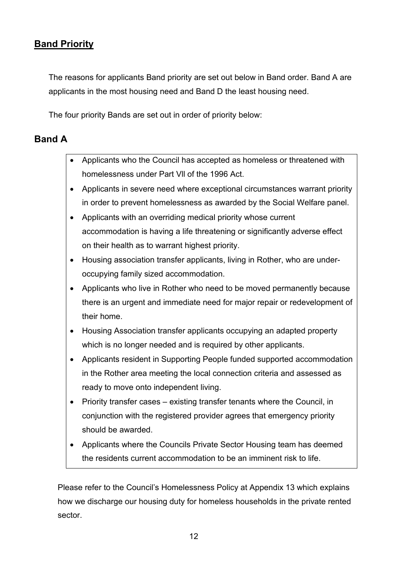## <span id="page-12-0"></span>**Band Priority**

The reasons for applicants Band priority are set out below in Band order. Band A are applicants in the most housing need and Band D the least housing need.

The four priority Bands are set out in order of priority below:

## <span id="page-12-1"></span>**Band A**

- Applicants who the Council has accepted as homeless or threatened with homelessness under Part Vll of the 1996 Act.
- Applicants in severe need where exceptional circumstances warrant priority in order to prevent homelessness as awarded by the Social Welfare panel.
- Applicants with an overriding medical priority whose current accommodation is having a life threatening or significantly adverse effect on their health as to warrant highest priority.
- Housing association transfer applicants, living in Rother, who are underoccupying family sized accommodation.
- Applicants who live in Rother who need to be moved permanently because there is an urgent and immediate need for major repair or redevelopment of their home.
- Housing Association transfer applicants occupying an adapted property which is no longer needed and is required by other applicants.
- Applicants resident in Supporting People funded supported accommodation in the Rother area meeting the local connection criteria and assessed as ready to move onto independent living.
- Priority transfer cases existing transfer tenants where the Council, in conjunction with the registered provider agrees that emergency priority should be awarded.
- Applicants where the Councils Private Sector Housing team has deemed the residents current accommodation to be an imminent risk to life.

Please refer to the Council's Homelessness Policy at Appendix 13 which explains how we discharge our housing duty for homeless households in the private rented sector.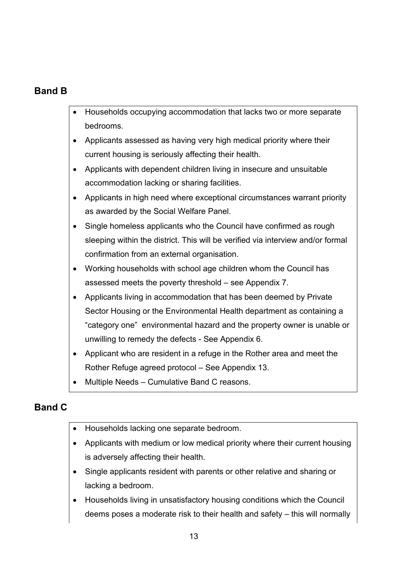## <span id="page-13-0"></span>**Band B**

- Households occupying accommodation that lacks two or more separate bedrooms.
- Applicants assessed as having very high medical priority where their current housing is seriously affecting their health.
- Applicants with dependent children living in insecure and unsuitable accommodation lacking or sharing facilities.
- Applicants in high need where exceptional circumstances warrant priority as awarded by the Social Welfare Panel.
- Single homeless applicants who the Council have confirmed as rough sleeping within the district. This will be verified via interview and/or formal confirmation from an external organisation.
- Working households with school age children whom the Council has assessed meets the poverty threshold – see Appendix 7.
- Applicants living in accommodation that has been deemed by Private Sector Housing or the Environmental Health department as containing a "category one" environmental hazard and the property owner is unable or unwilling to remedy the defects - See Appendix 6.
- Applicant who are resident in a refuge in the Rother area and meet the Rother Refuge agreed protocol – See Appendix 13.
- Multiple Needs Cumulative Band C reasons.

## <span id="page-13-1"></span>**Band C**

- Households lacking one separate bedroom.
- Applicants with medium or low medical priority where their current housing is adversely affecting their health.
- Single applicants resident with parents or other relative and sharing or lacking a bedroom.
- Households living in unsatisfactory housing conditions which the Council deems poses a moderate risk to their health and safety – this will normally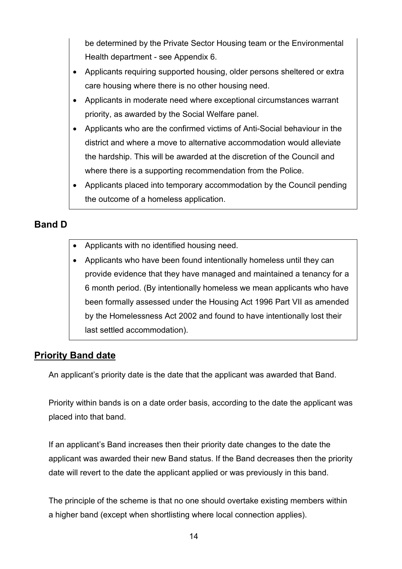be determined by the Private Sector Housing team or the Environmental Health department - see Appendix 6.

- Applicants requiring supported housing, older persons sheltered or extra care housing where there is no other housing need.
- Applicants in moderate need where exceptional circumstances warrant priority, as awarded by the Social Welfare panel.
- Applicants who are the confirmed victims of Anti-Social behaviour in the district and where a move to alternative accommodation would alleviate the hardship. This will be awarded at the discretion of the Council and where there is a supporting recommendation from the Police.
- Applicants placed into temporary accommodation by the Council pending the outcome of a homeless application.

## <span id="page-14-0"></span>**Band D**

- Applicants with no identified housing need.
- Applicants who have been found intentionally homeless until they can provide evidence that they have managed and maintained a tenancy for a 6 month period. (By intentionally homeless we mean applicants who have been formally assessed under the Housing Act 1996 Part VII as amended by the Homelessness Act 2002 and found to have intentionally lost their last settled accommodation).

## <span id="page-14-1"></span>**Priority Band date**

An applicant's priority date is the date that the applicant was awarded that Band.

Priority within bands is on a date order basis, according to the date the applicant was placed into that band.

If an applicant's Band increases then their priority date changes to the date the applicant was awarded their new Band status. If the Band decreases then the priority date will revert to the date the applicant applied or was previously in this band.

The principle of the scheme is that no one should overtake existing members within a higher band (except when shortlisting where local connection applies).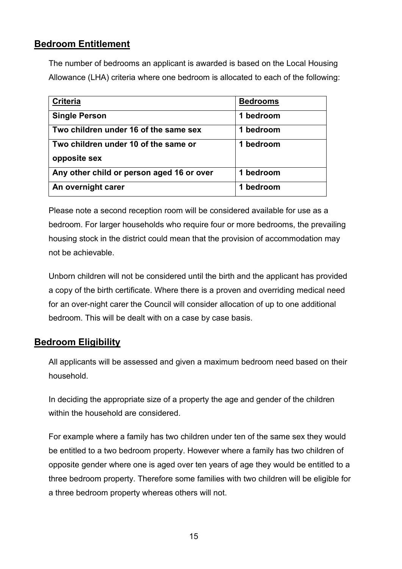## <span id="page-15-0"></span>**Bedroom Entitlement**

The number of bedrooms an applicant is awarded is based on the Local Housing Allowance (LHA) criteria where one bedroom is allocated to each of the following:

| <b>Criteria</b>                           | <b>Bedrooms</b> |
|-------------------------------------------|-----------------|
| <b>Single Person</b>                      | 1 bedroom       |
| Two children under 16 of the same sex     | 1 bedroom       |
| Two children under 10 of the same or      | 1 bedroom       |
| opposite sex                              |                 |
| Any other child or person aged 16 or over | 1 bedroom       |
| An overnight carer                        | bedroom         |

Please note a second reception room will be considered available for use as a bedroom. For larger households who require four or more bedrooms, the prevailing housing stock in the district could mean that the provision of accommodation may not be achievable.

Unborn children will not be considered until the birth and the applicant has provided a copy of the birth certificate. Where there is a proven and overriding medical need for an over-night carer the Council will consider allocation of up to one additional bedroom. This will be dealt with on a case by case basis.

## <span id="page-15-1"></span>**Bedroom Eligibility**

All applicants will be assessed and given a maximum bedroom need based on their household.

In deciding the appropriate size of a property the age and gender of the children within the household are considered.

For example where a family has two children under ten of the same sex they would be entitled to a two bedroom property. However where a family has two children of opposite gender where one is aged over ten years of age they would be entitled to a three bedroom property. Therefore some families with two children will be eligible for a three bedroom property whereas others will not.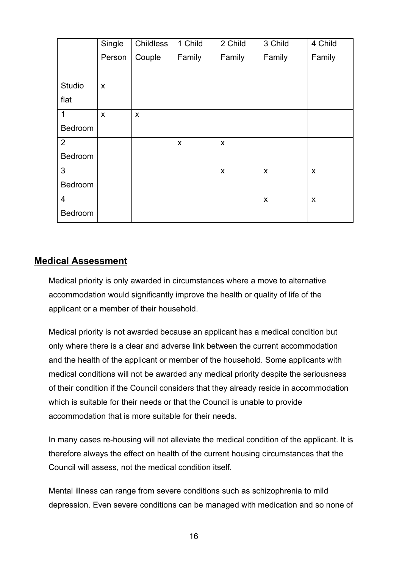|                | Single       | Childless | 1 Child | 2 Child | 3 Child      | 4 Child                   |
|----------------|--------------|-----------|---------|---------|--------------|---------------------------|
|                | Person       | Couple    | Family  | Family  | Family       | Family                    |
|                |              |           |         |         |              |                           |
| Studio         | $\mathsf{x}$ |           |         |         |              |                           |
| flat           |              |           |         |         |              |                           |
| $\mathbf{1}$   | X            | X         |         |         |              |                           |
| Bedroom        |              |           |         |         |              |                           |
| 2              |              |           | X       | X       |              |                           |
| Bedroom        |              |           |         |         |              |                           |
| $\mathbf{3}$   |              |           |         | X       | X            | X                         |
| Bedroom        |              |           |         |         |              |                           |
| $\overline{4}$ |              |           |         |         | $\mathsf{x}$ | $\boldsymbol{\mathsf{X}}$ |
| Bedroom        |              |           |         |         |              |                           |

#### <span id="page-16-0"></span>**Medical Assessment**

Medical priority is only awarded in circumstances where a move to alternative accommodation would significantly improve the health or quality of life of the applicant or a member of their household.

Medical priority is not awarded because an applicant has a medical condition but only where there is a clear and adverse link between the current accommodation and the health of the applicant or member of the household. Some applicants with medical conditions will not be awarded any medical priority despite the seriousness of their condition if the Council considers that they already reside in accommodation which is suitable for their needs or that the Council is unable to provide accommodation that is more suitable for their needs.

In many cases re-housing will not alleviate the medical condition of the applicant. It is therefore always the effect on health of the current housing circumstances that the Council will assess, not the medical condition itself.

Mental illness can range from severe conditions such as schizophrenia to mild depression. Even severe conditions can be managed with medication and so none of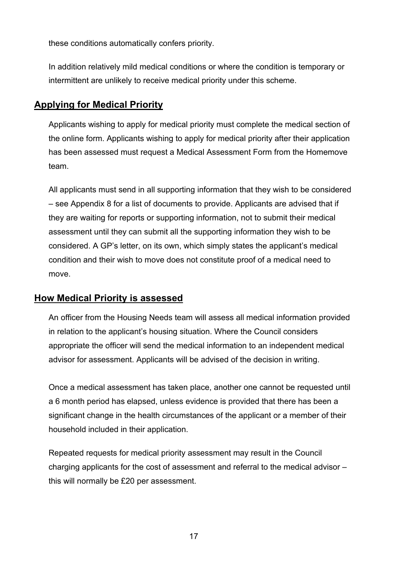these conditions automatically confers priority.

In addition relatively mild medical conditions or where the condition is temporary or intermittent are unlikely to receive medical priority under this scheme.

## <span id="page-17-0"></span>**Applying for Medical Priority**

Applicants wishing to apply for medical priority must complete the medical section of the online form. Applicants wishing to apply for medical priority after their application has been assessed must request a Medical Assessment Form from the Homemove team.

All applicants must send in all supporting information that they wish to be considered – see Appendix 8 for a list of documents to provide. Applicants are advised that if they are waiting for reports or supporting information, not to submit their medical assessment until they can submit all the supporting information they wish to be considered. A GP's letter, on its own, which simply states the applicant's medical condition and their wish to move does not constitute proof of a medical need to move.

#### <span id="page-17-1"></span>**How Medical Priority is assessed**

An officer from the Housing Needs team will assess all medical information provided in relation to the applicant's housing situation. Where the Council considers appropriate the officer will send the medical information to an independent medical advisor for assessment. Applicants will be advised of the decision in writing.

Once a medical assessment has taken place, another one cannot be requested until a 6 month period has elapsed, unless evidence is provided that there has been a significant change in the health circumstances of the applicant or a member of their household included in their application.

Repeated requests for medical priority assessment may result in the Council charging applicants for the cost of assessment and referral to the medical advisor – this will normally be £20 per assessment.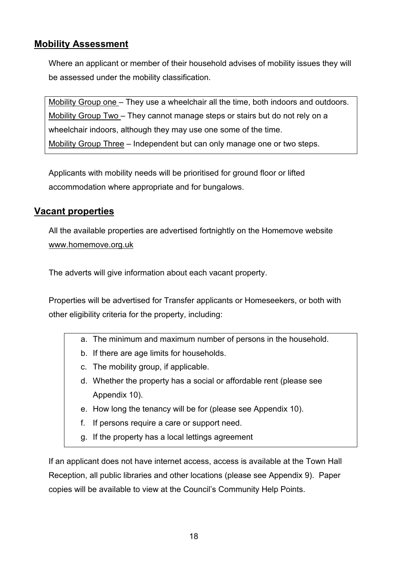## <span id="page-18-0"></span>**Mobility Assessment**

Where an applicant or member of their household advises of mobility issues they will be assessed under the mobility classification.

Mobility Group one – They use a wheelchair all the time, both indoors and outdoors. Mobility Group Two – They cannot manage steps or stairs but do not rely on a wheelchair indoors, although they may use one some of the time. Mobility Group Three – Independent but can only manage one or two steps.

Applicants with mobility needs will be prioritised for ground floor or lifted accommodation where appropriate and for bungalows.

## <span id="page-18-1"></span>**Vacant properties**

All the available properties are advertised fortnightly on the Homemove website [www.homemove.org.uk](http://www.homemove.org.uk/)

The adverts will give information about each vacant property.

Properties will be advertised for Transfer applicants or Homeseekers, or both with other eligibility criteria for the property, including:

- a. The minimum and maximum number of persons in the household.
- b. If there are age limits for households.
- c. The mobility group, if applicable.
- d. Whether the property has a social or affordable rent (please see Appendix 10).
- e. How long the tenancy will be for (please see Appendix 10).
- f. If persons require a care or support need.
- g. If the property has a local lettings agreement

If an applicant does not have internet access, access is available at the Town Hall Reception, all public libraries and other locations (please see Appendix 9). Paper copies will be available to view at the Council's Community Help Points.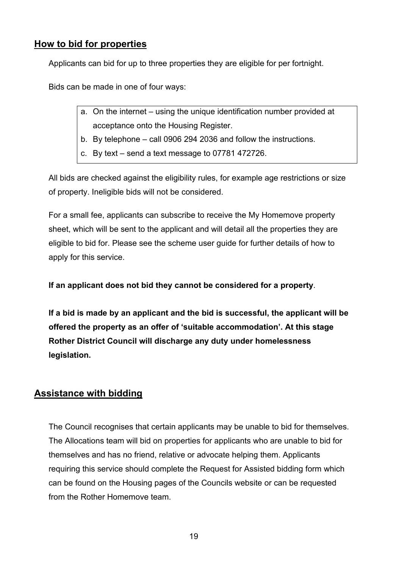## <span id="page-19-0"></span>**How to bid for properties**

Applicants can bid for up to three properties they are eligible for per fortnight.

Bids can be made in one of four ways:

- a. On the internet using the unique identification number provided at acceptance onto the Housing Register.
- b. By telephone call 0906 294 2036 and follow the instructions.
- c. By text send a text message to 07781 472726.

All bids are checked against the eligibility rules, for example age restrictions or size of property. Ineligible bids will not be considered.

For a small fee, applicants can subscribe to receive the My Homemove property sheet, which will be sent to the applicant and will detail all the properties they are eligible to bid for. Please see the scheme user guide for further details of how to apply for this service.

**If an applicant does not bid they cannot be considered for a property**.

**If a bid is made by an applicant and the bid is successful, the applicant will be offered the property as an offer of 'suitable accommodation'. At this stage Rother District Council will discharge any duty under homelessness legislation.** 

## <span id="page-19-1"></span>**Assistance with bidding**

The Council recognises that certain applicants may be unable to bid for themselves. The Allocations team will bid on properties for applicants who are unable to bid for themselves and has no friend, relative or advocate helping them. Applicants requiring this service should complete the Request for Assisted bidding form which can be found on the Housing pages of the Councils website or can be requested from the Rother Homemove team.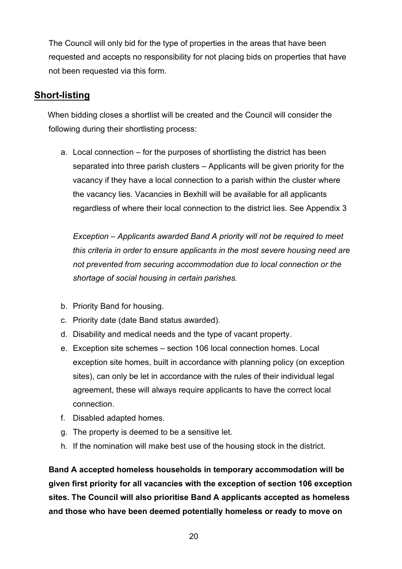The Council will only bid for the type of properties in the areas that have been requested and accepts no responsibility for not placing bids on properties that have not been requested via this form.

## <span id="page-20-0"></span>**Short-listing**

 When bidding closes a shortlist will be created and the Council will consider the following during their shortlisting process:

a. Local connection – for the purposes of shortlisting the district has been separated into three parish clusters – Applicants will be given priority for the vacancy if they have a local connection to a parish within the cluster where the vacancy lies. Vacancies in Bexhill will be available for all applicants regardless of where their local connection to the district lies. See Appendix 3

*Exception – Applicants awarded Band A priority will not be required to meet this criteria in order to ensure applicants in the most severe housing need are not prevented from securing accommodation due to local connection or the shortage of social housing in certain parishes.* 

- b. Priority Band for housing.
- c. Priority date (date Band status awarded).
- d. Disability and medical needs and the type of vacant property.
- e. Exception site schemes section 106 local connection homes. Local exception site homes, built in accordance with planning policy (on exception sites), can only be let in accordance with the rules of their individual legal agreement, these will always require applicants to have the correct local connection.
- f. Disabled adapted homes.
- g. The property is deemed to be a sensitive let.
- h. If the nomination will make best use of the housing stock in the district.

**Band A accepted homeless households in temporary accommodation will be given first priority for all vacancies with the exception of section 106 exception sites. The Council will also prioritise Band A applicants accepted as homeless and those who have been deemed potentially homeless or ready to move on**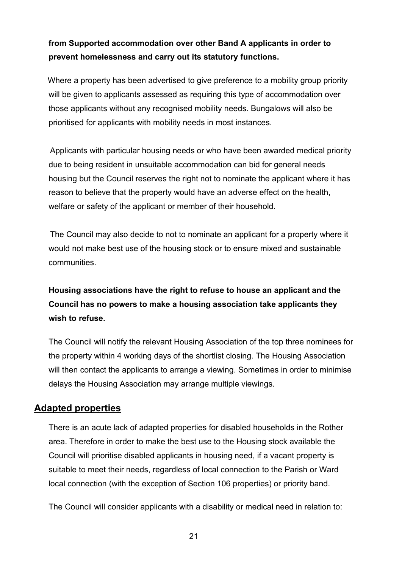## **from Supported accommodation over other Band A applicants in order to prevent homelessness and carry out its statutory functions.**

 Where a property has been advertised to give preference to a mobility group priority will be given to applicants assessed as requiring this type of accommodation over those applicants without any recognised mobility needs. Bungalows will also be prioritised for applicants with mobility needs in most instances.

 Applicants with particular housing needs or who have been awarded medical priority due to being resident in unsuitable accommodation can bid for general needs housing but the Council reserves the right not to nominate the applicant where it has reason to believe that the property would have an adverse effect on the health, welfare or safety of the applicant or member of their household.

 The Council may also decide to not to nominate an applicant for a property where it would not make best use of the housing stock or to ensure mixed and sustainable communities.

## **Housing associations have the right to refuse to house an applicant and the Council has no powers to make a housing association take applicants they wish to refuse.**

The Council will notify the relevant Housing Association of the top three nominees for the property within 4 working days of the shortlist closing. The Housing Association will then contact the applicants to arrange a viewing. Sometimes in order to minimise delays the Housing Association may arrange multiple viewings.

## <span id="page-21-0"></span>**Adapted properties**

There is an acute lack of adapted properties for disabled households in the Rother area. Therefore in order to make the best use to the Housing stock available the Council will prioritise disabled applicants in housing need, if a vacant property is suitable to meet their needs, regardless of local connection to the Parish or Ward local connection (with the exception of Section 106 properties) or priority band.

The Council will consider applicants with a disability or medical need in relation to:

21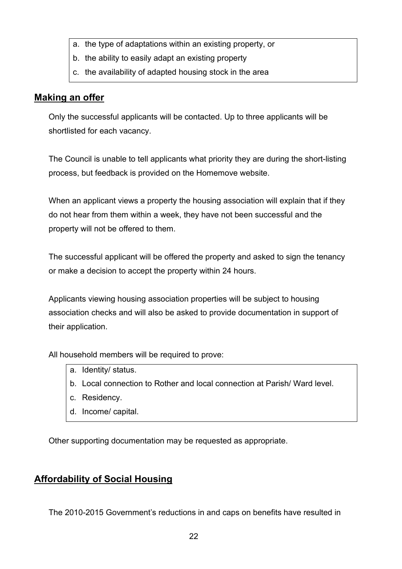- a. the type of adaptations within an existing property, or
- b. the ability to easily adapt an existing property
- c. the availability of adapted housing stock in the area

### <span id="page-22-0"></span>**Making an offer**

Only the successful applicants will be contacted. Up to three applicants will be shortlisted for each vacancy.

The Council is unable to tell applicants what priority they are during the short-listing process, but feedback is provided on the Homemove website.

When an applicant views a property the housing association will explain that if they do not hear from them within a week, they have not been successful and the property will not be offered to them.

The successful applicant will be offered the property and asked to sign the tenancy or make a decision to accept the property within 24 hours.

Applicants viewing housing association properties will be subject to housing association checks and will also be asked to provide documentation in support of their application.

All household members will be required to prove:

- a. Identity/ status.
- b. Local connection to Rother and local connection at Parish/ Ward level.
- c. Residency.
- d. Income/ capital.

Other supporting documentation may be requested as appropriate.

## <span id="page-22-1"></span>**Affordability of Social Housing**

The 2010-2015 Government's reductions in and caps on benefits have resulted in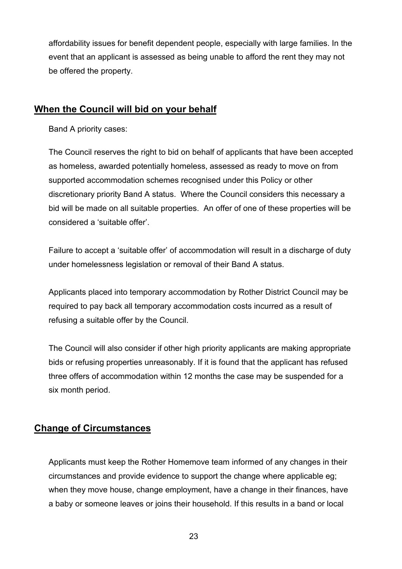affordability issues for benefit dependent people, especially with large families. In the event that an applicant is assessed as being unable to afford the rent they may not be offered the property.

## <span id="page-23-0"></span>**When the Council will bid on your behalf**

Band A priority cases:

The Council reserves the right to bid on behalf of applicants that have been accepted as homeless, awarded potentially homeless, assessed as ready to move on from supported accommodation schemes recognised under this Policy or other discretionary priority Band A status. Where the Council considers this necessary a bid will be made on all suitable properties. An offer of one of these properties will be considered a 'suitable offer'.

Failure to accept a 'suitable offer' of accommodation will result in a discharge of duty under homelessness legislation or removal of their Band A status.

Applicants placed into temporary accommodation by Rother District Council may be required to pay back all temporary accommodation costs incurred as a result of refusing a suitable offer by the Council.

The Council will also consider if other high priority applicants are making appropriate bids or refusing properties unreasonably. If it is found that the applicant has refused three offers of accommodation within 12 months the case may be suspended for a six month period.

#### <span id="page-23-1"></span>**Change of Circumstances**

Applicants must keep the Rother Homemove team informed of any changes in their circumstances and provide evidence to support the change where applicable eg; when they move house, change employment, have a change in their finances, have a baby or someone leaves or joins their household. If this results in a band or local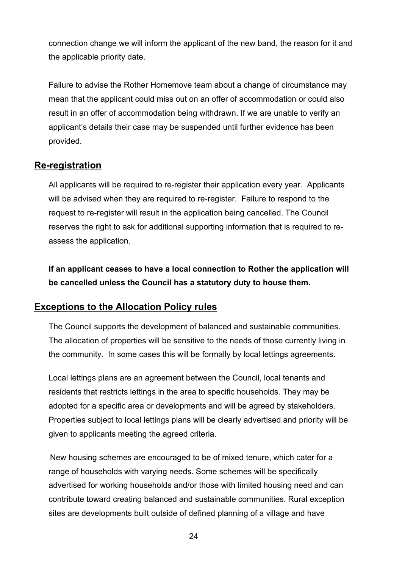connection change we will inform the applicant of the new band, the reason for it and the applicable priority date.

Failure to advise the Rother Homemove team about a change of circumstance may mean that the applicant could miss out on an offer of accommodation or could also result in an offer of accommodation being withdrawn. If we are unable to verify an applicant's details their case may be suspended until further evidence has been provided.

## <span id="page-24-0"></span>**Re-registration**

All applicants will be required to re-register their application every year. Applicants will be advised when they are required to re-register. Failure to respond to the request to re-register will result in the application being cancelled. The Council reserves the right to ask for additional supporting information that is required to reassess the application.

**If an applicant ceases to have a local connection to Rother the application will be cancelled unless the Council has a statutory duty to house them.**

## <span id="page-24-1"></span>**Exceptions to the Allocation Policy rules**

The Council supports the development of balanced and sustainable communities. The allocation of properties will be sensitive to the needs of those currently living in the community. In some cases this will be formally by local lettings agreements.

Local lettings plans are an agreement between the Council, local tenants and residents that restricts lettings in the area to specific households. They may be adopted for a specific area or developments and will be agreed by stakeholders. Properties subject to local lettings plans will be clearly advertised and priority will be given to applicants meeting the agreed criteria.

 New housing schemes are encouraged to be of mixed tenure, which cater for a range of households with varying needs. Some schemes will be specifically advertised for working households and/or those with limited housing need and can contribute toward creating balanced and sustainable communities. Rural exception sites are developments built outside of defined planning of a village and have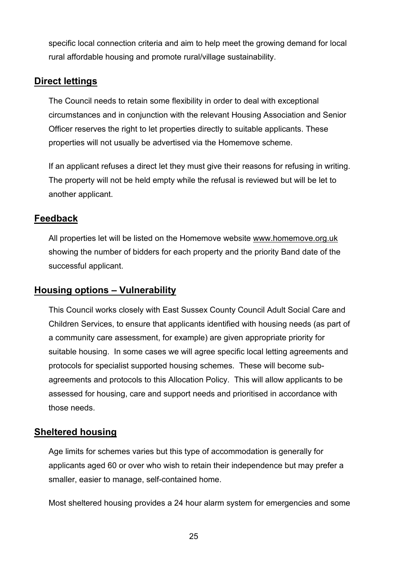specific local connection criteria and aim to help meet the growing demand for local rural affordable housing and promote rural/village sustainability.

### <span id="page-25-0"></span>**Direct lettings**

The Council needs to retain some flexibility in order to deal with exceptional circumstances and in conjunction with the relevant Housing Association and Senior Officer reserves the right to let properties directly to suitable applicants. These properties will not usually be advertised via the Homemove scheme.

If an applicant refuses a direct let they must give their reasons for refusing in writing. The property will not be held empty while the refusal is reviewed but will be let to another applicant.

### <span id="page-25-1"></span>**Feedback**

All properties let will be listed on the Homemove website [www.homemove.org.uk](http://www.homemove.org.uk/)  showing the number of bidders for each property and the priority Band date of the successful applicant.

## <span id="page-25-2"></span>**Housing options – Vulnerability**

This Council works closely with East Sussex County Council Adult Social Care and Children Services, to ensure that applicants identified with housing needs (as part of a community care assessment, for example) are given appropriate priority for suitable housing. In some cases we will agree specific local letting agreements and protocols for specialist supported housing schemes. These will become subagreements and protocols to this Allocation Policy. This will allow applicants to be assessed for housing, care and support needs and prioritised in accordance with those needs.

#### <span id="page-25-3"></span>**Sheltered housing**

Age limits for schemes varies but this type of accommodation is generally for applicants aged 60 or over who wish to retain their independence but may prefer a smaller, easier to manage, self-contained home.

Most sheltered housing provides a 24 hour alarm system for emergencies and some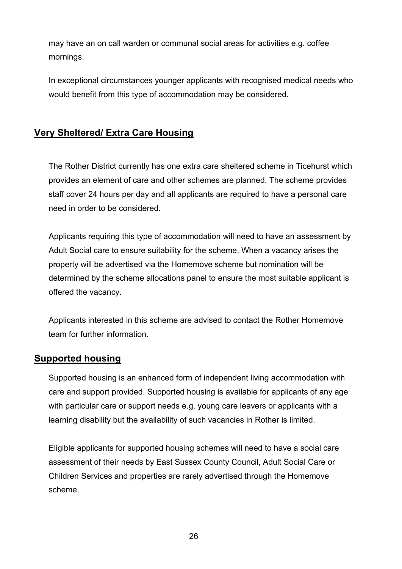may have an on call warden or communal social areas for activities e.g. coffee mornings.

In exceptional circumstances younger applicants with recognised medical needs who would benefit from this type of accommodation may be considered.

## <span id="page-26-0"></span>**Very Sheltered/ Extra Care Housing**

The Rother District currently has one extra care sheltered scheme in Ticehurst which provides an element of care and other schemes are planned. The scheme provides staff cover 24 hours per day and all applicants are required to have a personal care need in order to be considered.

Applicants requiring this type of accommodation will need to have an assessment by Adult Social care to ensure suitability for the scheme. When a vacancy arises the property will be advertised via the Homemove scheme but nomination will be determined by the scheme allocations panel to ensure the most suitable applicant is offered the vacancy.

Applicants interested in this scheme are advised to contact the Rother Homemove team for further information.

#### <span id="page-26-1"></span>**Supported housing**

Supported housing is an enhanced form of independent living accommodation with care and support provided. Supported housing is available for applicants of any age with particular care or support needs e.g. young care leavers or applicants with a learning disability but the availability of such vacancies in Rother is limited.

Eligible applicants for supported housing schemes will need to have a social care assessment of their needs by East Sussex County Council, Adult Social Care or Children Services and properties are rarely advertised through the Homemove scheme.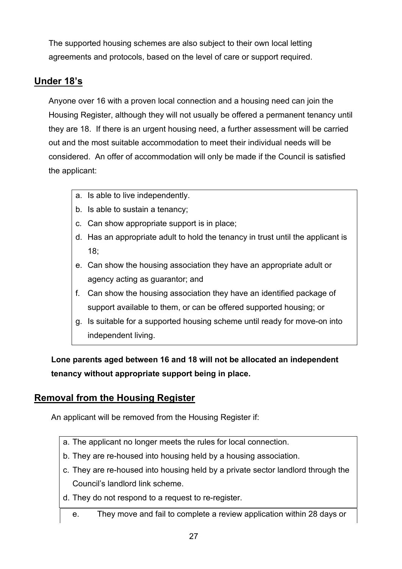The supported housing schemes are also subject to their own local letting agreements and protocols, based on the level of care or support required.

## <span id="page-27-0"></span>**Under 18's**

Anyone over 16 with a proven local connection and a housing need can join the Housing Register, although they will not usually be offered a permanent tenancy until they are 18. If there is an urgent housing need, a further assessment will be carried out and the most suitable accommodation to meet their individual needs will be considered. An offer of accommodation will only be made if the Council is satisfied the applicant:

- a. Is able to live independently.
- b. Is able to sustain a tenancy;
- c. Can show appropriate support is in place;
- d. Has an appropriate adult to hold the tenancy in trust until the applicant is 18;
- e. Can show the housing association they have an appropriate adult or agency acting as guarantor; and
- f. Can show the housing association they have an identified package of support available to them, or can be offered supported housing; or
- g. Is suitable for a supported housing scheme until ready for move-on into independent living.

**Lone parents aged between 16 and 18 will not be allocated an independent tenancy without appropriate support being in place.**

## <span id="page-27-1"></span>**Removal from the Housing Register**

An applicant will be removed from the Housing Register if:

- a. The applicant no longer meets the rules for local connection.
- b. They are re-housed into housing held by a housing association.
- c. They are re-housed into housing held by a private sector landlord through the Council's landlord link scheme.
- d. They do not respond to a request to re-register.
	- e. They move and fail to complete a review application within 28 days or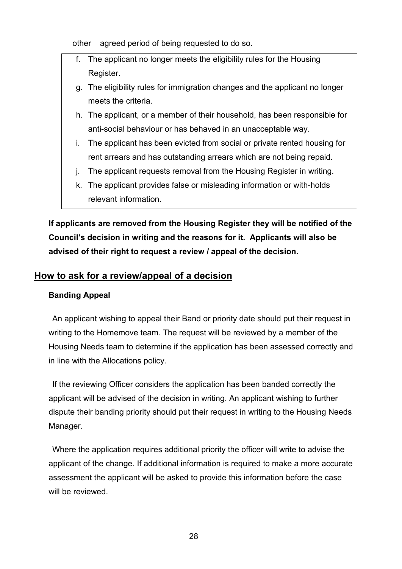other agreed period of being requested to do so.

- f. The applicant no longer meets the eligibility rules for the Housing Register.
- g. The eligibility rules for immigration changes and the applicant no longer meets the criteria.
- h. The applicant, or a member of their household, has been responsible for anti-social behaviour or has behaved in an unacceptable way.
- i. The applicant has been evicted from social or private rented housing for rent arrears and has outstanding arrears which are not being repaid.
- j. The applicant requests removal from the Housing Register in writing.
- k. The applicant provides false or misleading information or with-holds relevant information.

**If applicants are removed from the Housing Register they will be notified of the Council's decision in writing and the reasons for it. Applicants will also be advised of their right to request a review / appeal of the decision.** 

## <span id="page-28-0"></span>**How to ask for a review/appeal of a decision**

#### **Banding Appeal**

 An applicant wishing to appeal their Band or priority date should put their request in writing to the Homemove team. The request will be reviewed by a member of the Housing Needs team to determine if the application has been assessed correctly and in line with the Allocations policy.

 If the reviewing Officer considers the application has been banded correctly the applicant will be advised of the decision in writing. An applicant wishing to further dispute their banding priority should put their request in writing to the Housing Needs Manager.

 Where the application requires additional priority the officer will write to advise the applicant of the change. If additional information is required to make a more accurate assessment the applicant will be asked to provide this information before the case will be reviewed.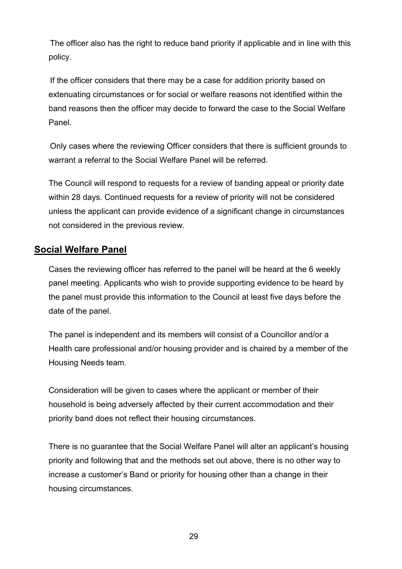The officer also has the right to reduce band priority if applicable and in line with this policy.

 If the officer considers that there may be a case for addition priority based on extenuating circumstances or for social or welfare reasons not identified within the band reasons then the officer may decide to forward the case to the Social Welfare Panel.

 Only cases where the reviewing Officer considers that there is sufficient grounds to warrant a referral to the Social Welfare Panel will be referred.

The Council will respond to requests for a review of banding appeal or priority date within 28 days. Continued requests for a review of priority will not be considered unless the applicant can provide evidence of a significant change in circumstances not considered in the previous review.

### <span id="page-29-0"></span>**Social Welfare Panel**

Cases the reviewing officer has referred to the panel will be heard at the 6 weekly panel meeting. Applicants who wish to provide supporting evidence to be heard by the panel must provide this information to the Council at least five days before the date of the panel.

The panel is independent and its members will consist of a Councillor and/or a Health care professional and/or housing provider and is chaired by a member of the Housing Needs team.

Consideration will be given to cases where the applicant or member of their household is being adversely affected by their current accommodation and their priority band does not reflect their housing circumstances.

There is no guarantee that the Social Welfare Panel will alter an applicant's housing priority and following that and the methods set out above, there is no other way to increase a customer's Band or priority for housing other than a change in their housing circumstances.

29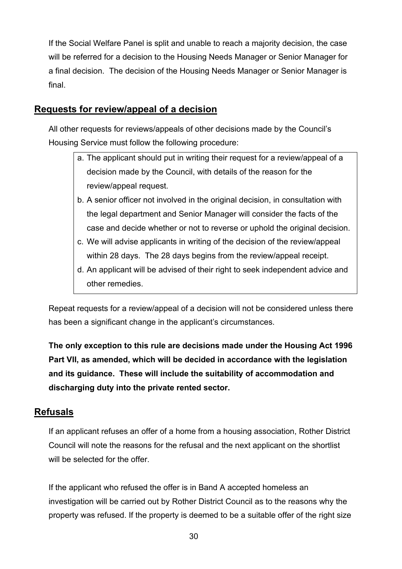If the Social Welfare Panel is split and unable to reach a majority decision, the case will be referred for a decision to the Housing Needs Manager or Senior Manager for a final decision. The decision of the Housing Needs Manager or Senior Manager is final.

## <span id="page-30-0"></span>**Requests for review/appeal of a decision**

All other requests for reviews/appeals of other decisions made by the Council's Housing Service must follow the following procedure:

- a. The applicant should put in writing their request for a review/appeal of a decision made by the Council, with details of the reason for the review/appeal request.
- b. A senior officer not involved in the original decision, in consultation with the legal department and Senior Manager will consider the facts of the case and decide whether or not to reverse or uphold the original decision.
- c. We will advise applicants in writing of the decision of the review/appeal within 28 days. The 28 days begins from the review/appeal receipt.
- d. An applicant will be advised of their right to seek independent advice and other remedies.

Repeat requests for a review/appeal of a decision will not be considered unless there has been a significant change in the applicant's circumstances.

**The only exception to this rule are decisions made under the Housing Act 1996 Part VII, as amended, which will be decided in accordance with the legislation and its guidance. These will include the suitability of accommodation and discharging duty into the private rented sector.**

#### <span id="page-30-1"></span>**Refusals**

If an applicant refuses an offer of a home from a housing association, Rother District Council will note the reasons for the refusal and the next applicant on the shortlist will be selected for the offer.

If the applicant who refused the offer is in Band A accepted homeless an investigation will be carried out by Rother District Council as to the reasons why the property was refused. If the property is deemed to be a suitable offer of the right size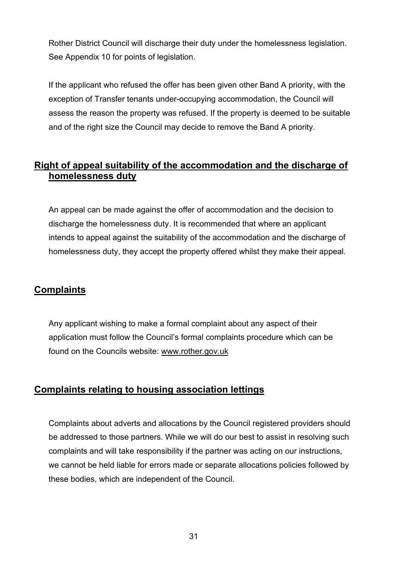Rother District Council will discharge their duty under the homelessness legislation. See Appendix 10 for points of legislation.

If the applicant who refused the offer has been given other Band A priority, with the exception of Transfer tenants under-occupying accommodation, the Council will assess the reason the property was refused. If the property is deemed to be suitable and of the right size the Council may decide to remove the Band A priority.

## <span id="page-31-0"></span>**Right of appeal suitability of the accommodation and the discharge of homelessness duty**

An appeal can be made against the offer of accommodation and the decision to discharge the homelessness duty. It is recommended that where an applicant intends to appeal against the suitability of the accommodation and the discharge of homelessness duty, they accept the property offered whilst they make their appeal.

## <span id="page-31-1"></span>**Complaints**

Any applicant wishing to make a formal complaint about any aspect of their application must follow the Council's formal complaints procedure which can be found on the Councils website: [www.rother.gov.uk](http://www.rother.gov.uk/)

## <span id="page-31-2"></span>**Complaints relating to housing association lettings**

Complaints about adverts and allocations by the Council registered providers should be addressed to those partners. While we will do our best to assist in resolving such complaints and will take responsibility if the partner was acting on our instructions, we cannot be held liable for errors made or separate allocations policies followed by these bodies, which are independent of the Council.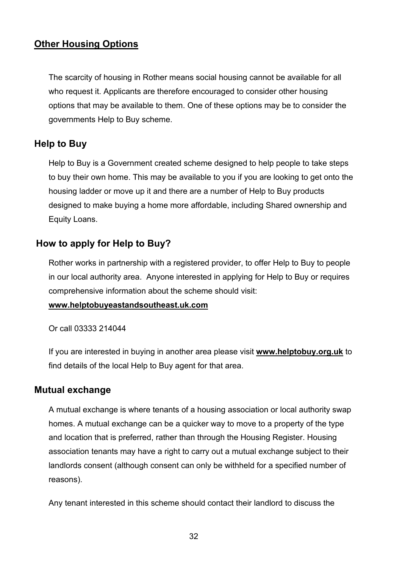## <span id="page-32-0"></span>**Other Housing Options**

The scarcity of housing in Rother means social housing cannot be available for all who request it. Applicants are therefore encouraged to consider other housing options that may be available to them. One of these options may be to consider the governments Help to Buy scheme.

## <span id="page-32-1"></span>**Help to Buy**

Help to Buy is a Government created scheme designed to help people to take steps to buy their own home. This may be available to you if you are looking to get onto the housing ladder or move up it and there are a number of Help to Buy products designed to make buying a home more affordable, including Shared ownership and Equity Loans.

### <span id="page-32-2"></span>**How to apply for Help to Buy?**

Rother works in partnership with a registered provider, to offer Help to Buy to people in our local authority area. Anyone interested in applying for Help to Buy or requires comprehensive information about the scheme should visit:

#### **[www.helptobuyeastandsoutheast.uk.com](http://www.helptobuyeastandsoutheast.uk.com/)**

Or call 03333 214044

If you are interested in buying in another area please visit **[www.helptobuy.org.uk](http://www.helptobuy.org.uk/)** to find details of the local Help to Buy agent for that area.

#### <span id="page-32-3"></span>**Mutual exchange**

A mutual exchange is where tenants of a housing association or local authority swap homes. A mutual exchange can be a quicker way to move to a property of the type and location that is preferred, rather than through the Housing Register. Housing association tenants may have a right to carry out a mutual exchange subject to their landlords consent (although consent can only be withheld for a specified number of reasons).

Any tenant interested in this scheme should contact their landlord to discuss the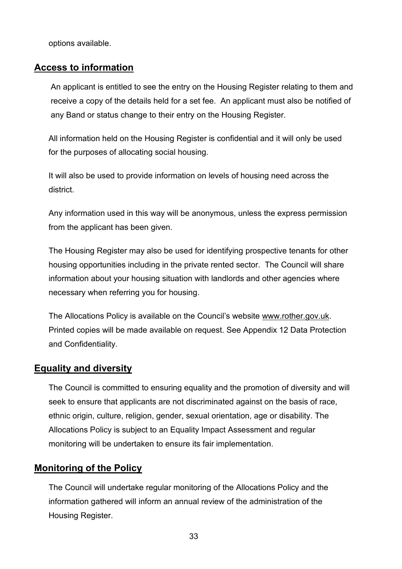options available.

#### <span id="page-33-0"></span>**Access to information**

An applicant is entitled to see the entry on the Housing Register relating to them and receive a copy of the details held for a set fee. An applicant must also be notified of any Band or status change to their entry on the Housing Register.

All information held on the Housing Register is confidential and it will only be used for the purposes of allocating social housing.

It will also be used to provide information on levels of housing need across the district.

Any information used in this way will be anonymous, unless the express permission from the applicant has been given.

The Housing Register may also be used for identifying prospective tenants for other housing opportunities including in the private rented sector. The Council will share information about your housing situation with landlords and other agencies where necessary when referring you for housing.

The Allocations Policy is available on the Council's website [www.rother.gov.uk.](http://www.rother.gov.uk/) Printed copies will be made available on request. See Appendix 12 Data Protection and Confidentiality.

#### <span id="page-33-1"></span>**Equality and diversity**

The Council is committed to ensuring equality and the promotion of diversity and will seek to ensure that applicants are not discriminated against on the basis of race, ethnic origin, culture, religion, gender, sexual orientation, age or disability. The Allocations Policy is subject to an Equality Impact Assessment and regular monitoring will be undertaken to ensure its fair implementation.

#### <span id="page-33-2"></span>**Monitoring of the Policy**

The Council will undertake regular monitoring of the Allocations Policy and the information gathered will inform an annual review of the administration of the Housing Register.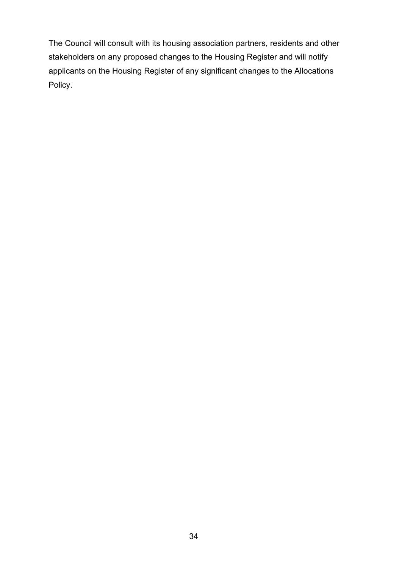The Council will consult with its housing association partners, residents and other stakeholders on any proposed changes to the Housing Register and will notify applicants on the Housing Register of any significant changes to the Allocations Policy.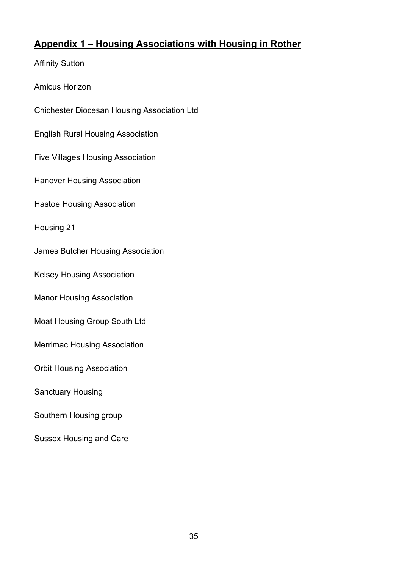## <span id="page-35-0"></span>**Appendix 1 – Housing Associations with Housing in Rother**

Affinity Sutton Amicus Horizon Chichester Diocesan Housing Association Ltd English Rural Housing Association Five Villages Housing Association Hanover Housing Association Hastoe Housing Association Housing 21 James Butcher Housing Association Kelsey Housing Association Manor Housing Association Moat Housing Group South Ltd Merrimac Housing Association Orbit Housing Association Sanctuary Housing Southern Housing group Sussex Housing and Care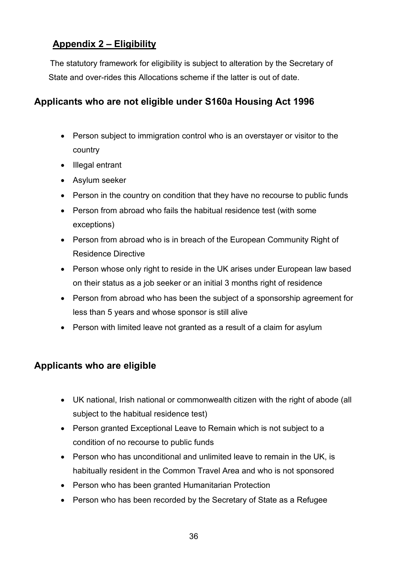## <span id="page-36-0"></span>**Appendix 2 – Eligibility**

 The statutory framework for eligibility is subject to alteration by the Secretary of State and over-rides this Allocations scheme if the latter is out of date.

## <span id="page-36-1"></span>**Applicants who are not eligible under S160a Housing Act 1996**

- Person subject to immigration control who is an overstayer or visitor to the country
- Illegal entrant
- Asylum seeker
- Person in the country on condition that they have no recourse to public funds
- Person from abroad who fails the habitual residence test (with some exceptions)
- Person from abroad who is in breach of the European Community Right of Residence Directive
- Person whose only right to reside in the UK arises under European law based on their status as a job seeker or an initial 3 months right of residence
- Person from abroad who has been the subject of a sponsorship agreement for less than 5 years and whose sponsor is still alive
- Person with limited leave not granted as a result of a claim for asylum

## <span id="page-36-2"></span>**Applicants who are eligible**

- UK national, Irish national or commonwealth citizen with the right of abode (all subject to the habitual residence test)
- Person granted Exceptional Leave to Remain which is not subject to a condition of no recourse to public funds
- Person who has unconditional and unlimited leave to remain in the UK, is habitually resident in the Common Travel Area and who is not sponsored
- Person who has been granted Humanitarian Protection
- Person who has been recorded by the Secretary of State as a Refugee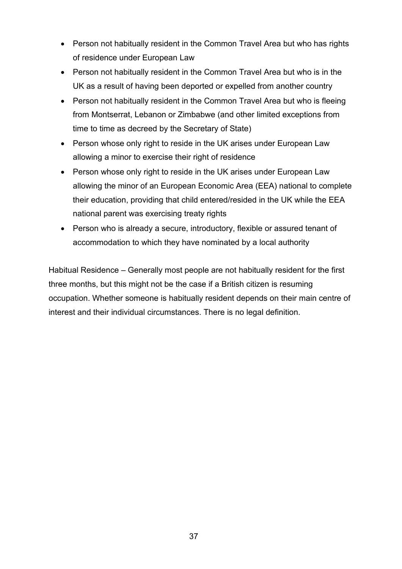- Person not habitually resident in the Common Travel Area but who has rights of residence under European Law
- Person not habitually resident in the Common Travel Area but who is in the UK as a result of having been deported or expelled from another country
- Person not habitually resident in the Common Travel Area but who is fleeing from Montserrat, Lebanon or Zimbabwe (and other limited exceptions from time to time as decreed by the Secretary of State)
- Person whose only right to reside in the UK arises under European Law allowing a minor to exercise their right of residence
- Person whose only right to reside in the UK arises under European Law allowing the minor of an European Economic Area (EEA) national to complete their education, providing that child entered/resided in the UK while the EEA national parent was exercising treaty rights
- Person who is already a secure, introductory, flexible or assured tenant of accommodation to which they have nominated by a local authority

Habitual Residence – Generally most people are not habitually resident for the first three months, but this might not be the case if a British citizen is resuming occupation. Whether someone is habitually resident depends on their main centre of interest and their individual circumstances. There is no legal definition.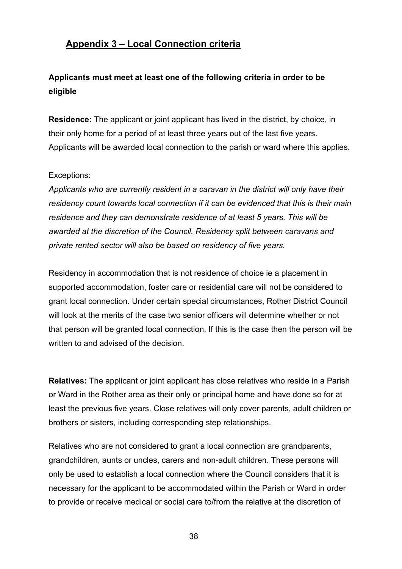## <span id="page-38-0"></span>**Appendix 3 – Local Connection criteria**

## **Applicants must meet at least one of the following criteria in order to be eligible**

**Residence:** The applicant or joint applicant has lived in the district, by choice, in their only home for a period of at least three years out of the last five years. Applicants will be awarded local connection to the parish or ward where this applies.

#### Exceptions:

*Applicants who are currently resident in a caravan in the district will only have their residency count towards local connection if it can be evidenced that this is their main residence and they can demonstrate residence of at least 5 years. This will be awarded at the discretion of the Council. Residency split between caravans and private rented sector will also be based on residency of five years.*

Residency in accommodation that is not residence of choice ie a placement in supported accommodation, foster care or residential care will not be considered to grant local connection. Under certain special circumstances, Rother District Council will look at the merits of the case two senior officers will determine whether or not that person will be granted local connection. If this is the case then the person will be written to and advised of the decision.

**Relatives:** The applicant or joint applicant has close relatives who reside in a Parish or Ward in the Rother area as their only or principal home and have done so for at least the previous five years. Close relatives will only cover parents, adult children or brothers or sisters, including corresponding step relationships.

Relatives who are not considered to grant a local connection are grandparents, grandchildren, aunts or uncles, carers and non-adult children. These persons will only be used to establish a local connection where the Council considers that it is necessary for the applicant to be accommodated within the Parish or Ward in order to provide or receive medical or social care to/from the relative at the discretion of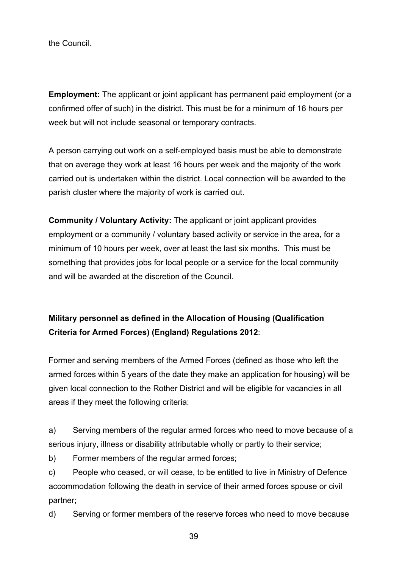the Council.

**Employment:** The applicant or joint applicant has permanent paid employment (or a confirmed offer of such) in the district. This must be for a minimum of 16 hours per week but will not include seasonal or temporary contracts.

A person carrying out work on a self-employed basis must be able to demonstrate that on average they work at least 16 hours per week and the majority of the work carried out is undertaken within the district. Local connection will be awarded to the parish cluster where the majority of work is carried out.

**Community / Voluntary Activity:** The applicant or joint applicant provides employment or a community / voluntary based activity or service in the area, for a minimum of 10 hours per week, over at least the last six months. This must be something that provides jobs for local people or a service for the local community and will be awarded at the discretion of the Council.

## **Military personnel as defined in the Allocation of Housing (Qualification Criteria for Armed Forces) (England) Regulations 2012**:

Former and serving members of the Armed Forces (defined as those who left the armed forces within 5 years of the date they make an application for housing) will be given local connection to the Rother District and will be eligible for vacancies in all areas if they meet the following criteria:

a) Serving members of the regular armed forces who need to move because of a serious injury, illness or disability attributable wholly or partly to their service;

b) Former members of the regular armed forces;

c) People who ceased, or will cease, to be entitled to live in Ministry of Defence accommodation following the death in service of their armed forces spouse or civil partner;

d) Serving or former members of the reserve forces who need to move because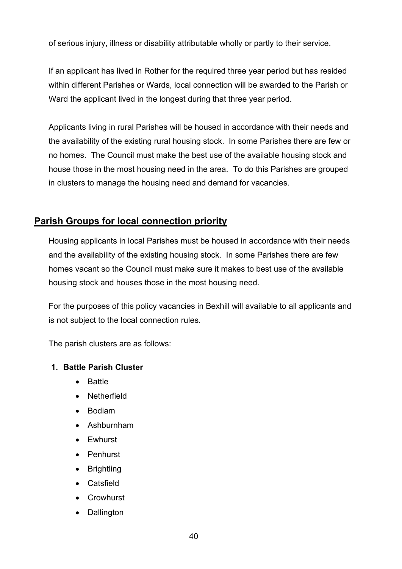of serious injury, illness or disability attributable wholly or partly to their service.

If an applicant has lived in Rother for the required three year period but has resided within different Parishes or Wards, local connection will be awarded to the Parish or Ward the applicant lived in the longest during that three year period.

Applicants living in rural Parishes will be housed in accordance with their needs and the availability of the existing rural housing stock. In some Parishes there are few or no homes. The Council must make the best use of the available housing stock and house those in the most housing need in the area. To do this Parishes are grouped in clusters to manage the housing need and demand for vacancies.

## <span id="page-40-0"></span>**Parish Groups for local connection priority**

Housing applicants in local Parishes must be housed in accordance with their needs and the availability of the existing housing stock. In some Parishes there are few homes vacant so the Council must make sure it makes to best use of the available housing stock and houses those in the most housing need.

For the purposes of this policy vacancies in Bexhill will available to all applicants and is not subject to the local connection rules.

The parish clusters are as follows:

#### **1. Battle Parish Cluster**

- Battle
- Netherfield
- Bodiam
- Ashburnham
- Ewhurst
- Penhurst
- Brightling
- Catsfield
- Crowhurst
- Dallington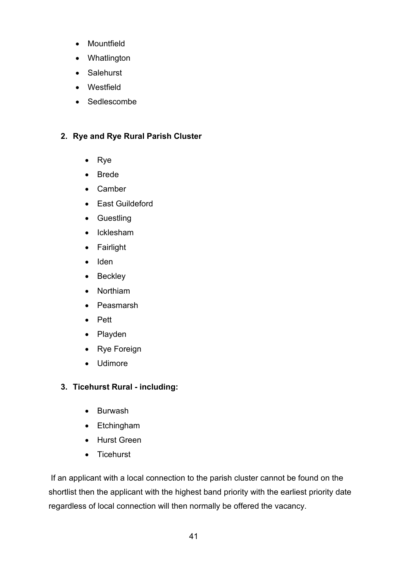- Mountfield
- Whatlington
- Salehurst
- Westfield
- Sedlescombe

#### **2. Rye and Rye Rural Parish Cluster**

- Rye
- Brede
- Camber
- East Guildeford
- Guestling
- Icklesham
- Fairlight
- Iden
- Beckley
- Northiam
- Peasmarsh
- Pett
- Playden
- Rye Foreign
- Udimore

#### **3. Ticehurst Rural - including:**

- Burwash
- Etchingham
- Hurst Green
- Ticehurst

If an applicant with a local connection to the parish cluster cannot be found on the shortlist then the applicant with the highest band priority with the earliest priority date regardless of local connection will then normally be offered the vacancy.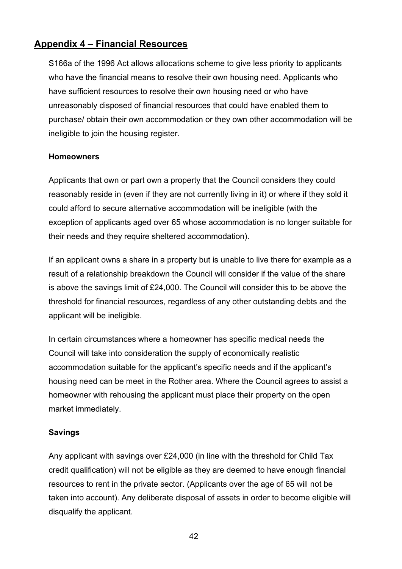## <span id="page-42-0"></span>**Appendix 4 – Financial Resources**

S166a of the 1996 Act allows allocations scheme to give less priority to applicants who have the financial means to resolve their own housing need. Applicants who have sufficient resources to resolve their own housing need or who have unreasonably disposed of financial resources that could have enabled them to purchase/ obtain their own accommodation or they own other accommodation will be ineligible to join the housing register.

#### **Homeowners**

Applicants that own or part own a property that the Council considers they could reasonably reside in (even if they are not currently living in it) or where if they sold it could afford to secure alternative accommodation will be ineligible (with the exception of applicants aged over 65 whose accommodation is no longer suitable for their needs and they require sheltered accommodation).

If an applicant owns a share in a property but is unable to live there for example as a result of a relationship breakdown the Council will consider if the value of the share is above the savings limit of £24,000. The Council will consider this to be above the threshold for financial resources, regardless of any other outstanding debts and the applicant will be ineligible.

In certain circumstances where a homeowner has specific medical needs the Council will take into consideration the supply of economically realistic accommodation suitable for the applicant's specific needs and if the applicant's housing need can be meet in the Rother area. Where the Council agrees to assist a homeowner with rehousing the applicant must place their property on the open market immediately.

#### **Savings**

Any applicant with savings over £24,000 (in line with the threshold for Child Tax credit qualification) will not be eligible as they are deemed to have enough financial resources to rent in the private sector. (Applicants over the age of 65 will not be taken into account). Any deliberate disposal of assets in order to become eligible will disqualify the applicant.

42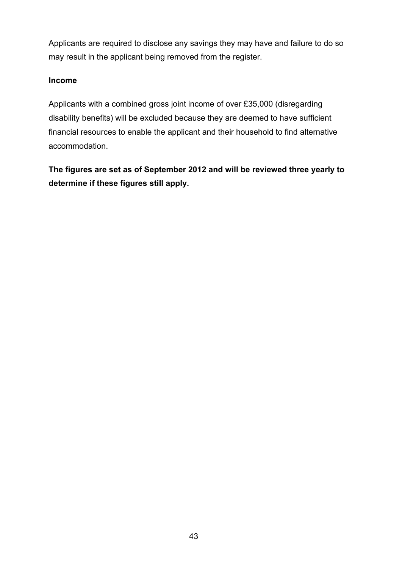Applicants are required to disclose any savings they may have and failure to do so may result in the applicant being removed from the register.

#### **Income**

Applicants with a combined gross joint income of over £35,000 (disregarding disability benefits) will be excluded because they are deemed to have sufficient financial resources to enable the applicant and their household to find alternative accommodation.

**The figures are set as of September 2012 and will be reviewed three yearly to determine if these figures still apply.**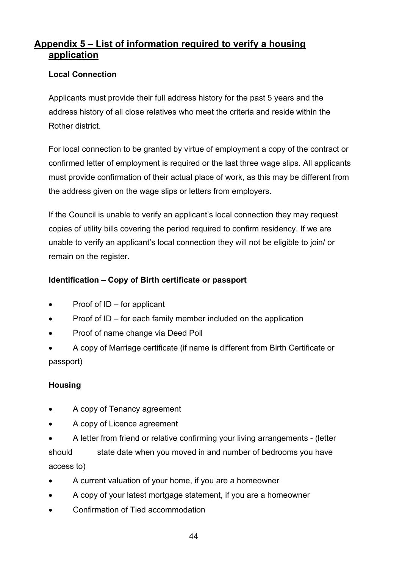## <span id="page-44-0"></span>**Appendix 5 – List of information required to verify a housing application**

#### **Local Connection**

Applicants must provide their full address history for the past 5 years and the address history of all close relatives who meet the criteria and reside within the Rother district.

For local connection to be granted by virtue of employment a copy of the contract or confirmed letter of employment is required or the last three wage slips. All applicants must provide confirmation of their actual place of work, as this may be different from the address given on the wage slips or letters from employers.

If the Council is unable to verify an applicant's local connection they may request copies of utility bills covering the period required to confirm residency. If we are unable to verify an applicant's local connection they will not be eligible to join/ or remain on the register.

#### **Identification – Copy of Birth certificate or passport**

- Proof of  $ID$  for applicant
- Proof of ID for each family member included on the application
- Proof of name change via Deed Poll
- A copy of Marriage certificate (if name is different from Birth Certificate or passport)

#### **Housing**

- A copy of Tenancy agreement
- A copy of Licence agreement
- A letter from friend or relative confirming your living arrangements (letter should state date when you moved in and number of bedrooms you have access to)
- A current valuation of your home, if you are a homeowner
- A copy of your latest mortgage statement, if you are a homeowner
- Confirmation of Tied accommodation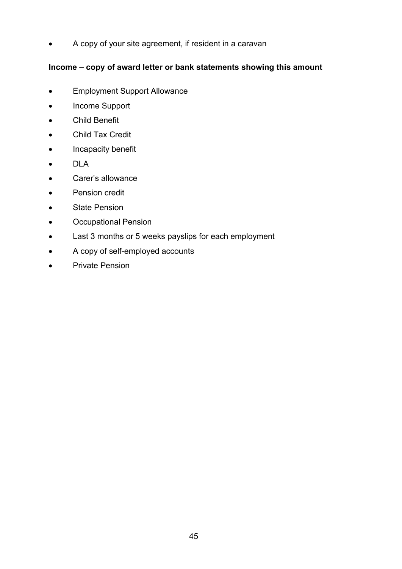• A copy of your site agreement, if resident in a caravan

#### **Income – copy of award letter or bank statements showing this amount**

- Employment Support Allowance
- Income Support
- Child Benefit
- Child Tax Credit
- Incapacity benefit
- DLA
- Carer's allowance
- Pension credit
- State Pension
- Occupational Pension
- Last 3 months or 5 weeks payslips for each employment
- A copy of self-employed accounts
- Private Pension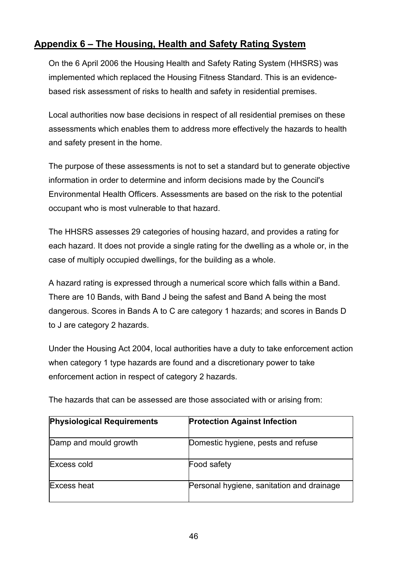## <span id="page-46-0"></span>**Appendix 6 – The Housing, Health and Safety Rating System**

On the 6 April 2006 the Housing Health and Safety Rating System (HHSRS) was implemented which replaced the Housing Fitness Standard. This is an evidencebased risk assessment of risks to health and safety in residential premises.

Local authorities now base decisions in respect of all residential premises on these assessments which enables them to address more effectively the hazards to health and safety present in the home.

The purpose of these assessments is not to set a standard but to generate objective information in order to determine and inform decisions made by the Council's Environmental Health Officers. Assessments are based on the risk to the potential occupant who is most vulnerable to that hazard.

The HHSRS assesses 29 categories of housing hazard, and provides a rating for each hazard. It does not provide a single rating for the dwelling as a whole or, in the case of multiply occupied dwellings, for the building as a whole.

A hazard rating is expressed through a numerical score which falls within a Band. There are 10 Bands, with Band J being the safest and Band A being the most dangerous. Scores in Bands A to C are category 1 hazards; and scores in Bands D to J are category 2 hazards.

Under the Housing Act 2004, local authorities have a duty to take enforcement action when category 1 type hazards are found and a discretionary power to take enforcement action in respect of category 2 hazards.

| <b>Physiological Requirements</b> | <b>Protection Against Infection</b>       |
|-----------------------------------|-------------------------------------------|
| Damp and mould growth             | Domestic hygiene, pests and refuse        |
| Excess cold                       | Food safety                               |
| <b>Excess heat</b>                | Personal hygiene, sanitation and drainage |

The hazards that can be assessed are those associated with or arising from: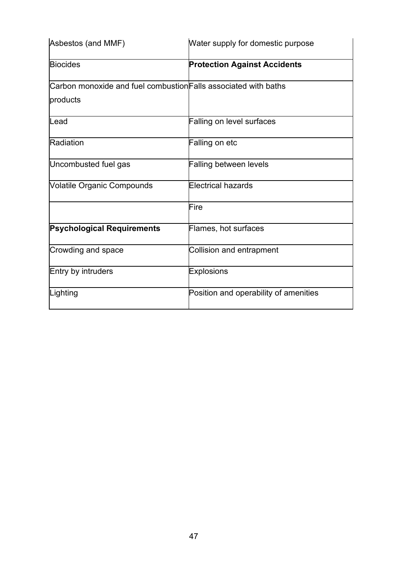| Asbestos (and MMF)                                              | Water supply for domestic purpose     |
|-----------------------------------------------------------------|---------------------------------------|
| <b>Biocides</b>                                                 | <b>Protection Against Accidents</b>   |
| Carbon monoxide and fuel combustion Falls associated with baths |                                       |
| products                                                        |                                       |
| Lead                                                            | <b>Falling on level surfaces</b>      |
| Radiation                                                       | Falling on etc                        |
| Uncombusted fuel gas                                            | <b>Falling between levels</b>         |
| <b>Volatile Organic Compounds</b>                               | <b>Electrical hazards</b>             |
|                                                                 | Fire                                  |
| <b>Psychological Requirements</b>                               | Flames, hot surfaces                  |
| Crowding and space                                              | <b>Collision and entrapment</b>       |
| Entry by intruders                                              | <b>Explosions</b>                     |
| Lighting                                                        | Position and operability of amenities |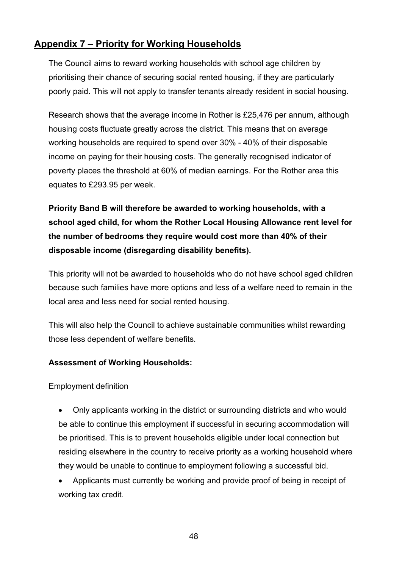## <span id="page-48-0"></span>**Appendix 7 – Priority for Working Households**

The Council aims to reward working households with school age children by prioritising their chance of securing social rented housing, if they are particularly poorly paid. This will not apply to transfer tenants already resident in social housing.

Research shows that the average income in Rother is £25,476 per annum, although housing costs fluctuate greatly across the district. This means that on average working households are required to spend over 30% - 40% of their disposable income on paying for their housing costs. The generally recognised indicator of poverty places the threshold at 60% of median earnings. For the Rother area this equates to £293.95 per week.

**Priority Band B will therefore be awarded to working households, with a school aged child, for whom the Rother Local Housing Allowance rent level for the number of bedrooms they require would cost more than 40% of their disposable income (disregarding disability benefits).** 

This priority will not be awarded to households who do not have school aged children because such families have more options and less of a welfare need to remain in the local area and less need for social rented housing.

This will also help the Council to achieve sustainable communities whilst rewarding those less dependent of welfare benefits.

#### **Assessment of Working Households:**

Employment definition

- Only applicants working in the district or surrounding districts and who would be able to continue this employment if successful in securing accommodation will be prioritised. This is to prevent households eligible under local connection but residing elsewhere in the country to receive priority as a working household where they would be unable to continue to employment following a successful bid.
- Applicants must currently be working and provide proof of being in receipt of working tax credit.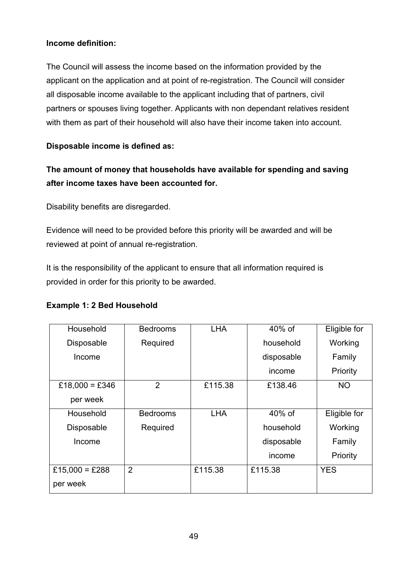#### **Income definition:**

The Council will assess the income based on the information provided by the applicant on the application and at point of re-registration. The Council will consider all disposable income available to the applicant including that of partners, civil partners or spouses living together. Applicants with non dependant relatives resident with them as part of their household will also have their income taken into account.

**Disposable income is defined as:**

## **The amount of money that households have available for spending and saving after income taxes have been accounted for.**

Disability benefits are disregarded.

Evidence will need to be provided before this priority will be awarded and will be reviewed at point of annual re-registration.

It is the responsibility of the applicant to ensure that all information required is provided in order for this priority to be awarded.

| Household         | <b>Bedrooms</b> | <b>LHA</b> | $40\%$ of  | Eligible for |
|-------------------|-----------------|------------|------------|--------------|
| Disposable        | Required        |            | household  | Working      |
| Income            |                 |            | disposable | Family       |
|                   |                 |            | income     | Priority     |
| £18,000 = £346    | $\overline{2}$  | £115.38    | £138.46    | <b>NO</b>    |
| per week          |                 |            |            |              |
| Household         | <b>Bedrooms</b> | <b>LHA</b> | 40% of     | Eligible for |
| <b>Disposable</b> | Required        |            | household  | Working      |
| Income            |                 |            | disposable | Family       |
|                   |                 |            | income     | Priority     |
| £15,000 = £288    | $\overline{2}$  | £115.38    | £115.38    | <b>YES</b>   |
| per week          |                 |            |            |              |

#### **Example 1: 2 Bed Household**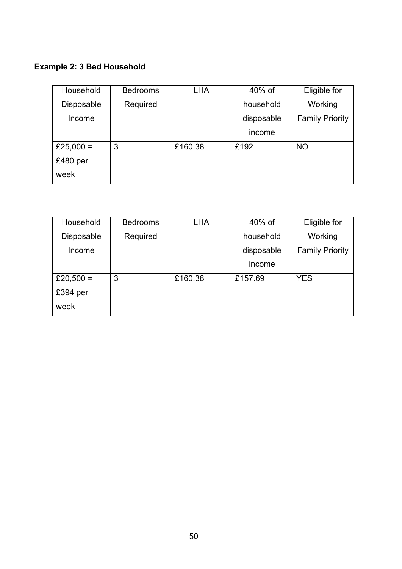## **Example 2: 3 Bed Household**

| Household         | <b>Bedrooms</b> | <b>LHA</b> | 40% of     | Eligible for           |
|-------------------|-----------------|------------|------------|------------------------|
| <b>Disposable</b> | Required        |            | household  | Working                |
| Income            |                 |            | disposable | <b>Family Priority</b> |
|                   |                 |            | income     |                        |
| £25,000 =         | 3               | £160.38    | £192       | <b>NO</b>              |
| £480 per          |                 |            |            |                        |
| week              |                 |            |            |                        |

| Household         | <b>Bedrooms</b> | <b>LHA</b> | 40% of     | Eligible for           |
|-------------------|-----------------|------------|------------|------------------------|
| <b>Disposable</b> | Required        |            | household  | Working                |
| Income            |                 |            | disposable | <b>Family Priority</b> |
|                   |                 |            | income     |                        |
| £20,500 =         | 3               | £160.38    | £157.69    | <b>YES</b>             |
| £394 per          |                 |            |            |                        |
| week              |                 |            |            |                        |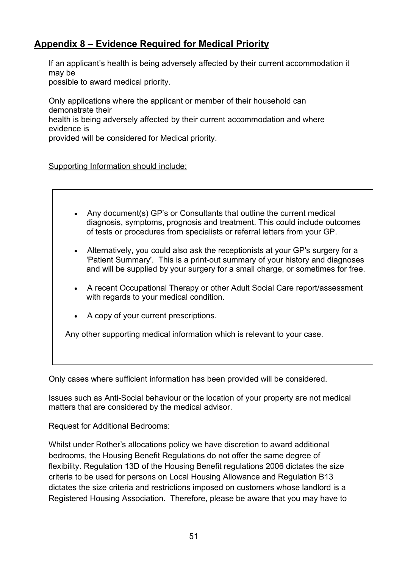## <span id="page-51-0"></span>**Appendix 8 – Evidence Required for Medical Priority**

If an applicant's health is being adversely affected by their current accommodation it may be

possible to award medical priority.

Only applications where the applicant or member of their household can demonstrate their

health is being adversely affected by their current accommodation and where evidence is

provided will be considered for Medical priority.

Supporting Information should include:

- Any document(s) GP's or Consultants that outline the current medical diagnosis, symptoms, prognosis and treatment. This could include outcomes of tests or procedures from specialists or referral letters from your GP.
- Alternatively, you could also ask the receptionists at your GP's surgery for a 'Patient Summary'. This is a print-out summary of your history and diagnoses and will be supplied by your surgery for a small charge, or sometimes for free.
- A recent Occupational Therapy or other Adult Social Care report/assessment with regards to your medical condition.
- A copy of your current prescriptions.

Any other supporting medical information which is relevant to your case.

Only cases where sufficient information has been provided will be considered.

Issues such as Anti-Social behaviour or the location of your property are not medical matters that are considered by the medical advisor.

#### Request for Additional Bedrooms:

Whilst under Rother's allocations policy we have discretion to award additional bedrooms, the Housing Benefit Regulations do not offer the same degree of flexibility. Regulation 13D of the Housing Benefit regulations 2006 dictates the size criteria to be used for persons on Local Housing Allowance and Regulation B13 dictates the size criteria and restrictions imposed on customers whose landlord is a Registered Housing Association. Therefore, please be aware that you may have to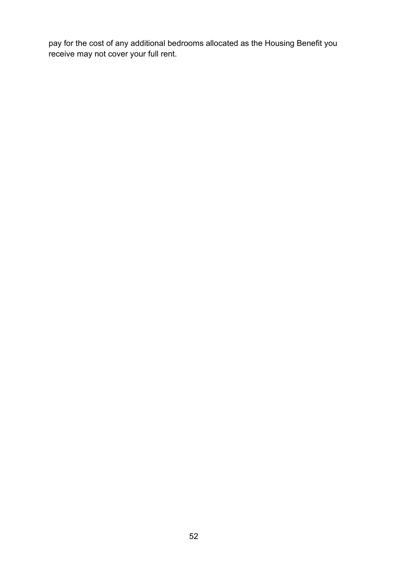pay for the cost of any additional bedrooms allocated as the Housing Benefit you receive may not cover your full rent.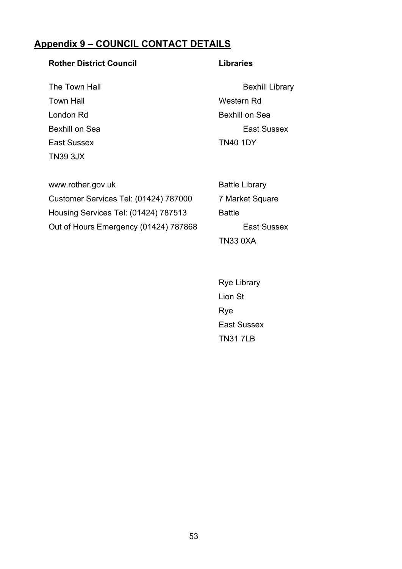## <span id="page-53-0"></span>**Appendix 9 – COUNCIL CONTACT DETAILS**

#### **Rother District Council Libraries**

Town Hall **Town Hall** Western Rd London Rd Bexhill on Sea East Sussex TN40 1DY TN39 3JX

The Town Hall **Bexhill Library** Bexhill Library Bexhill on Sea **East Sussex** 

| www.rother.gov.uk                     | <b>Battle Library</b> |
|---------------------------------------|-----------------------|
| Customer Services Tel: (01424) 787000 | 7 Market Squa         |
| Housing Services Tel: (01424) 787513  | <b>Battle</b>         |
| Out of Hours Emergency (01424) 787868 | East St               |

7 Market Square East Sussex TN33 0XA

 Rye Library Lion St Rye East Sussex TN31 7LB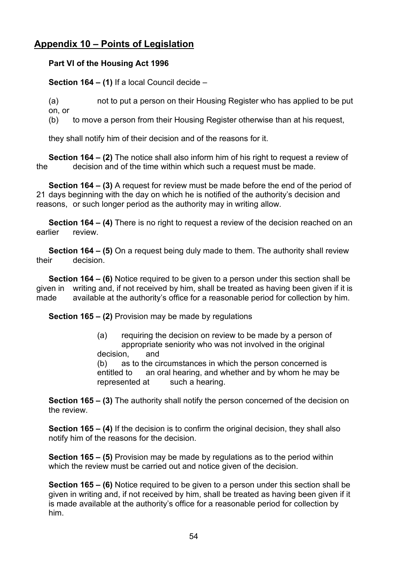## <span id="page-54-0"></span>**Appendix 10 – Points of Legislation**

#### **Part VI of the Housing Act 1996**

**Section 164 – (1)** If a local Council decide –

(a) not to put a person on their Housing Register who has applied to be put on, or

(b) to move a person from their Housing Register otherwise than at his request,

they shall notify him of their decision and of the reasons for it.

**Section 164 – (2)** The notice shall also inform him of his right to request a review of the decision and of the time within which such a request must be made. decision and of the time within which such a request must be made.

**Section 164 – (3)** A request for review must be made before the end of the period of 21 days beginning with the day on which he is notified of the authority's decision and reasons, or such longer period as the authority may in writing allow.

**Section 164 – (4)** There is no right to request a review of the decision reached on an earlier review.

**Section 164 – (5)** On a request being duly made to them. The authority shall review their decision.

**Section 164 – (6)** Notice required to be given to a person under this section shall be given in writing and, if not received by him, shall be treated as having been given if it is made available at the authority's office for a reasonable period for collection by him.

**Section 165 – (2)** Provision may be made by regulations

(a) requiring the decision on review to be made by a person of appropriate seniority who was not involved in the original decision, and

(b) as to the circumstances in which the person concerned is entitled to an oral hearing, and whether and by whom he may be represented at such a hearing.

**Section 165 – (3)** The authority shall notify the person concerned of the decision on the review.

**Section 165 – (4)** If the decision is to confirm the original decision, they shall also notify him of the reasons for the decision.

**Section 165 – (5)** Provision may be made by regulations as to the period within which the review must be carried out and notice given of the decision.

**Section 165 – (6)** Notice required to be given to a person under this section shall be given in writing and, if not received by him, shall be treated as having been given if it is made available at the authority's office for a reasonable period for collection by him.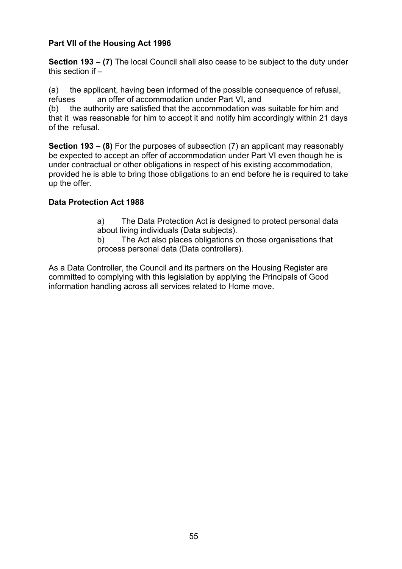#### **Part VII of the Housing Act 1996**

**Section 193 – (7)** The local Council shall also cease to be subject to the duty under this section if  $-$ 

(a) the applicant, having been informed of the possible consequence of refusal, refuses an offer of accommodation under Part VI, and

(b) the authority are satisfied that the accommodation was suitable for him and that it was reasonable for him to accept it and notify him accordingly within 21 days of the refusal.

**Section 193 – (8)** For the purposes of subsection (7) an applicant may reasonably be expected to accept an offer of accommodation under Part VI even though he is under contractual or other obligations in respect of his existing accommodation, provided he is able to bring those obligations to an end before he is required to take up the offer.

#### **Data Protection Act 1988**

a) The Data Protection Act is designed to protect personal data about living individuals (Data subjects).

b) The Act also places obligations on those organisations that process personal data (Data controllers).

As a Data Controller, the Council and its partners on the Housing Register are committed to complying with this legislation by applying the Principals of Good information handling across all services related to Home move.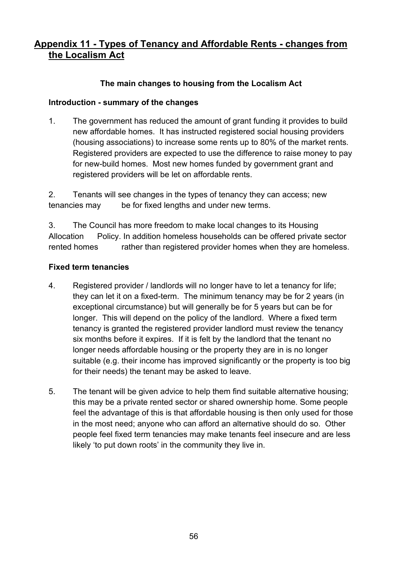## <span id="page-56-0"></span>**Appendix 11 - Types of Tenancy and Affordable Rents - changes from the Localism Act**

#### **The main changes to housing from the Localism Act**

#### **Introduction - summary of the changes**

1. The government has reduced the amount of grant funding it provides to build new affordable homes. It has instructed registered social housing providers (housing associations) to increase some rents up to 80% of the market rents. Registered providers are expected to use the difference to raise money to pay for new-build homes. Most new homes funded by government grant and registered providers will be let on affordable rents.

2. Tenants will see changes in the types of tenancy they can access; new tenancies may be for fixed lengths and under new terms.

3. The Council has more freedom to make local changes to its Housing Allocation Policy. In addition homeless households can be offered private sector rented homes rather than registered provider homes when they are homeless.

#### **Fixed term tenancies**

- 4. Registered provider / landlords will no longer have to let a tenancy for life; they can let it on a fixed-term. The minimum tenancy may be for 2 years (in exceptional circumstance) but will generally be for 5 years but can be for longer. This will depend on the policy of the landlord. Where a fixed term tenancy is granted the registered provider landlord must review the tenancy six months before it expires. If it is felt by the landlord that the tenant no longer needs affordable housing or the property they are in is no longer suitable (e.g. their income has improved significantly or the property is too big for their needs) the tenant may be asked to leave.
- 5. The tenant will be given advice to help them find suitable alternative housing; this may be a private rented sector or shared ownership home. Some people feel the advantage of this is that affordable housing is then only used for those in the most need; anyone who can afford an alternative should do so. Other people feel fixed term tenancies may make tenants feel insecure and are less likely 'to put down roots' in the community they live in.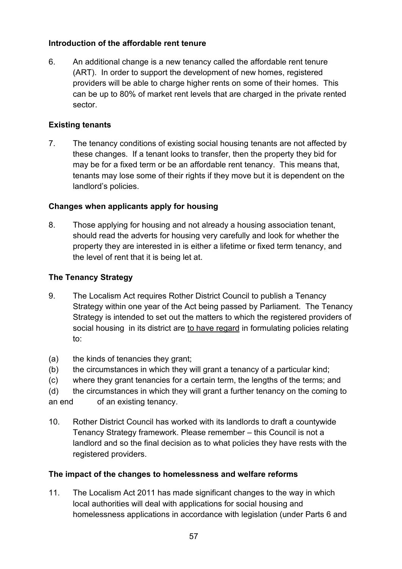#### **Introduction of the affordable rent tenure**

6. An additional change is a new tenancy called the affordable rent tenure (ART). In order to support the development of new homes, registered providers will be able to charge higher rents on some of their homes. This can be up to 80% of market rent levels that are charged in the private rented sector.

#### **Existing tenants**

7. The tenancy conditions of existing social housing tenants are not affected by these changes. If a tenant looks to transfer, then the property they bid for may be for a fixed term or be an affordable rent tenancy. This means that, tenants may lose some of their rights if they move but it is dependent on the landlord's policies.

#### **Changes when applicants apply for housing**

8. Those applying for housing and not already a housing association tenant, should read the adverts for housing very carefully and look for whether the property they are interested in is either a lifetime or fixed term tenancy, and the level of rent that it is being let at.

#### **The Tenancy Strategy**

- 9. The Localism Act requires Rother District Council to publish a Tenancy Strategy within one year of the Act being passed by Parliament. The Tenancy Strategy is intended to set out the matters to which the registered providers of social housing in its district are to have regard in formulating policies relating to:
- (a) the kinds of tenancies they grant;
- (b) the circumstances in which they will grant a tenancy of a particular kind;
- (c) where they grant tenancies for a certain term, the lengths of the terms; and
- (d) the circumstances in which they will grant a further tenancy on the coming to

an end of an existing tenancy.

10. Rother District Council has worked with its landlords to draft a countywide Tenancy Strategy framework. Please remember – this Council is not a landlord and so the final decision as to what policies they have rests with the registered providers.

#### **The impact of the changes to homelessness and welfare reforms**

11. The Localism Act 2011 has made significant changes to the way in which local authorities will deal with applications for social housing and homelessness applications in accordance with legislation (under Parts 6 and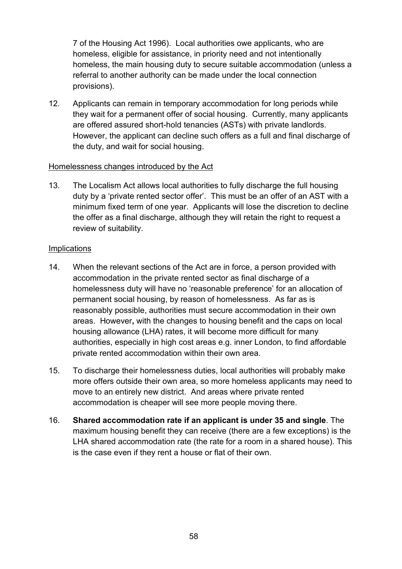7 of the Housing Act 1996). Local authorities owe applicants, who are homeless, eligible for assistance, in priority need and not intentionally homeless, the main housing duty to secure suitable accommodation (unless a referral to another authority can be made under the local connection provisions).

12. Applicants can remain in temporary accommodation for long periods while they wait for a permanent offer of social housing. Currently, many applicants are offered assured short-hold tenancies (ASTs) with private landlords. However, the applicant can decline such offers as a full and final discharge of the duty, and wait for social housing.

#### Homelessness changes introduced by the Act

13. The Localism Act allows local authorities to fully discharge the full housing duty by a 'private rented sector offer'. This must be an offer of an AST with a minimum fixed term of one year. Applicants will lose the discretion to decline the offer as a final discharge, although they will retain the right to request a review of suitability.

#### **Implications**

- 14. When the relevant sections of the Act are in force, a person provided with accommodation in the private rented sector as final discharge of a homelessness duty will have no 'reasonable preference' for an allocation of permanent social housing, by reason of homelessness. As far as is reasonably possible, authorities must secure accommodation in their own areas. However**,** with the changes to housing benefit and the caps on local housing allowance (LHA) rates, it will become more difficult for many authorities, especially in high cost areas e.g. inner London, to find affordable private rented accommodation within their own area.
- 15. To discharge their homelessness duties, local authorities will probably make more offers outside their own area, so more homeless applicants may need to move to an entirely new district. And areas where private rented accommodation is cheaper will see more people moving there.
- 16. **Shared accommodation rate if an applicant is under 35 and single**. The maximum housing benefit they can receive (there are a few exceptions) is the LHA shared accommodation rate (the rate for a room in a shared house). This is the case even if they rent a house or flat of their own.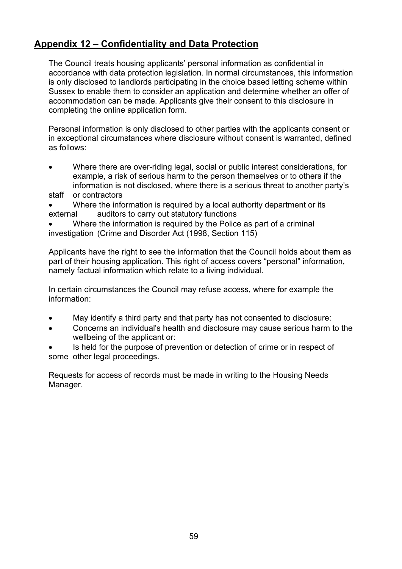## <span id="page-59-0"></span>**Appendix 12 – Confidentiality and Data Protection**

The Council treats housing applicants' personal information as confidential in accordance with data protection legislation. In normal circumstances, this information is only disclosed to landlords participating in the choice based letting scheme within Sussex to enable them to consider an application and determine whether an offer of accommodation can be made. Applicants give their consent to this disclosure in completing the online application form.

Personal information is only disclosed to other parties with the applicants consent or in exceptional circumstances where disclosure without consent is warranted, defined as follows:

- Where there are over-riding legal, social or public interest considerations, for example, a risk of serious harm to the person themselves or to others if the information is not disclosed, where there is a serious threat to another party's
- staff or contractors
- Where the information is required by a local authority department or its external auditors to carry out statutory functions
- Where the information is required by the Police as part of a criminal investigation (Crime and Disorder Act (1998, Section 115)

Applicants have the right to see the information that the Council holds about them as part of their housing application. This right of access covers "personal" information, namely factual information which relate to a living individual.

In certain circumstances the Council may refuse access, where for example the information:

- May identify a third party and that party has not consented to disclosure:
- Concerns an individual's health and disclosure may cause serious harm to the wellbeing of the applicant or:
- Is held for the purpose of prevention or detection of crime or in respect of some other legal proceedings.

Requests for access of records must be made in writing to the Housing Needs Manager.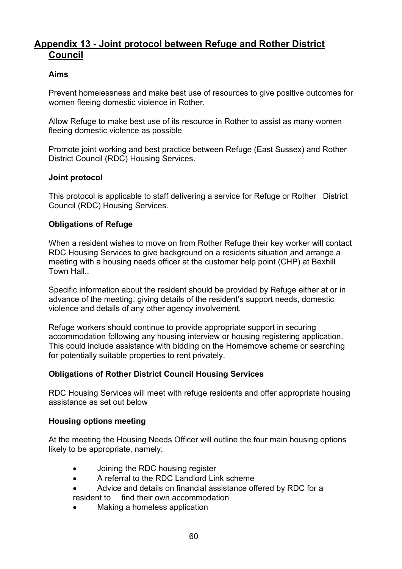## <span id="page-60-0"></span>**Appendix 13 - Joint protocol between Refuge and Rother District Council**

#### **Aims**

Prevent homelessness and make best use of resources to give positive outcomes for women fleeing domestic violence in Rother.

Allow Refuge to make best use of its resource in Rother to assist as many women fleeing domestic violence as possible

Promote joint working and best practice between Refuge (East Sussex) and Rother District Council (RDC) Housing Services.

#### **Joint protocol**

This protocol is applicable to staff delivering a service for Refuge or Rother District Council (RDC) Housing Services.

#### **Obligations of Refuge**

When a resident wishes to move on from Rother Refuge their key worker will contact RDC Housing Services to give background on a residents situation and arrange a meeting with a housing needs officer at the customer help point (CHP) at Bexhill Town Hall..

Specific information about the resident should be provided by Refuge either at or in advance of the meeting, giving details of the resident's support needs, domestic violence and details of any other agency involvement.

Refuge workers should continue to provide appropriate support in securing accommodation following any housing interview or housing registering application. This could include assistance with bidding on the Homemove scheme or searching for potentially suitable properties to rent privately.

#### **Obligations of Rother District Council Housing Services**

RDC Housing Services will meet with refuge residents and offer appropriate housing assistance as set out below

#### **Housing options meeting**

At the meeting the Housing Needs Officer will outline the four main housing options likely to be appropriate, namely:

- Joining the RDC housing register
- A referral to the RDC Landlord Link scheme
- Advice and details on financial assistance offered by RDC for a
- resident to find their own accommodation
- Making a homeless application